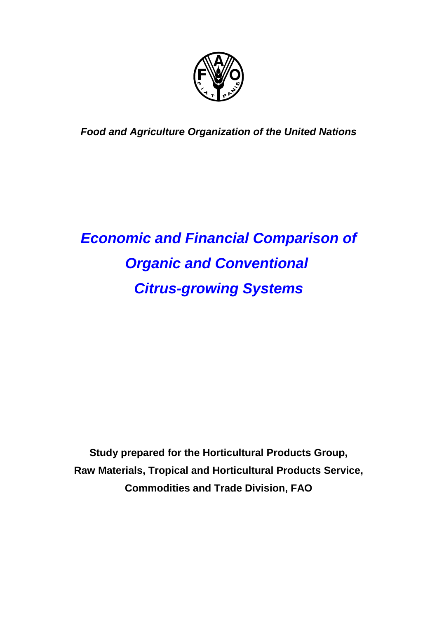

*Food and Agriculture Organization of the United Nations*

# *Economic and Financial Comparison of Organic and Conventional Citrus-growing Systems*

**Study prepared for the Horticultural Products Group, Raw Materials, Tropical and Horticultural Products Service, Commodities and Trade Division, FAO**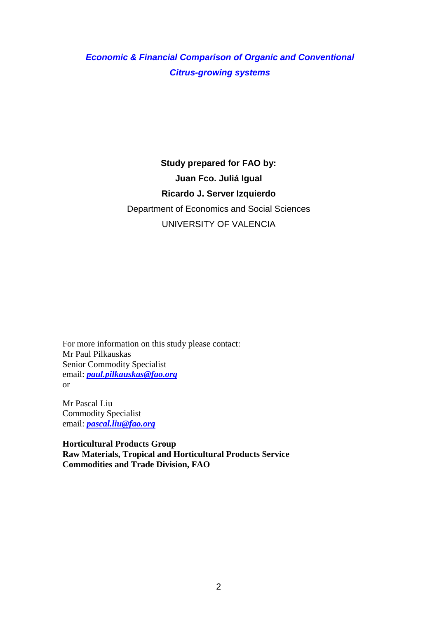# *Economic & Financial Comparison of Organic and Conventional Citrus-growing systems*

# **Study prepared for FAO by: Juan Fco. Juliá Igual Ricardo J. Server Izquierdo** Department of Economics and Social Sciences UNIVERSITY OF VALENCIA

For more information on this study please contact: Mr Paul Pilkauskas Senior Commodity Specialist email: *paul.pilkauskas@fao.org* or

Mr Pascal Liu Commodity Specialist email: *pascal.liu@fao.org*

**Horticultural Products Group Raw Materials, Tropical and Horticultural Products Service Commodities and Trade Division, FAO**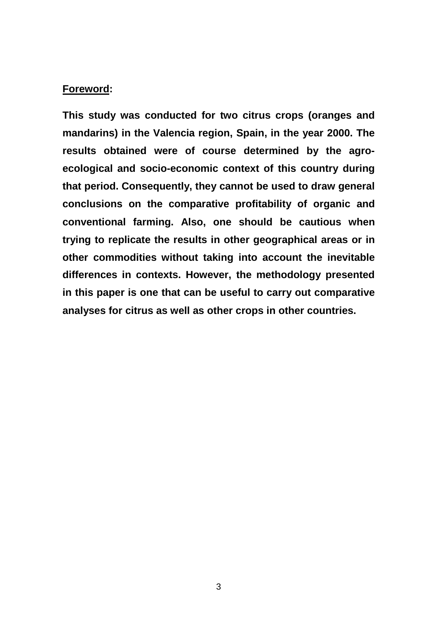## **Foreword:**

**This study was conducted for two citrus crops (oranges and mandarins) in the Valencia region, Spain, in the year 2000. The results obtained were of course determined by the agroecological and socio-economic context of this country during that period. Consequently, they cannot be used to draw general conclusions on the comparative profitability of organic and conventional farming. Also, one should be cautious when trying to replicate the results in other geographical areas or in other commodities without taking into account the inevitable differences in contexts. However, the methodology presented in this paper is one that can be useful to carry out comparative analyses for citrus as well as other crops in other countries.**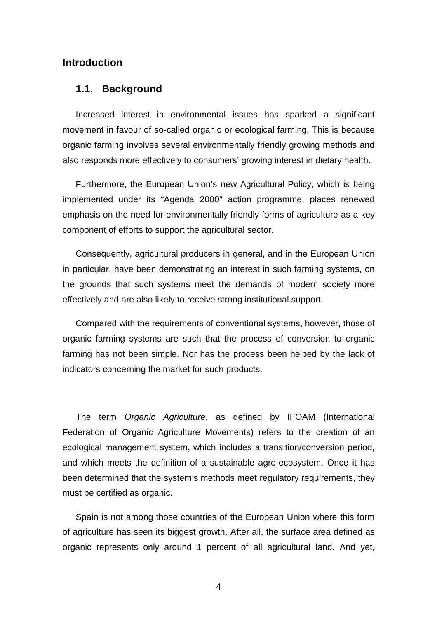## **Introduction**

#### **1.1. Background**

Increased interest in environmental issues has sparked a significant movement in favour of so-called organic or ecological farming. This is because organic farming involves several environmentally friendly growing methods and also responds more effectively to consumers' growing interest in dietary health.

Furthermore, the European Union's new Agricultural Policy, which is being implemented under its "Agenda 2000" action programme, places renewed emphasis on the need for environmentally friendly forms of agriculture as a key component of efforts to support the agricultural sector.

Consequently, agricultural producers in general, and in the European Union in particular, have been demonstrating an interest in such farming systems, on the grounds that such systems meet the demands of modern society more effectively and are also likely to receive strong institutional support.

Compared with the requirements of conventional systems, however, those of organic farming systems are such that the process of conversion to organic farming has not been simple. Nor has the process been helped by the lack of indicators concerning the market for such products.

The term *Organic Agriculture*, as defined by IFOAM (International Federation of Organic Agriculture Movements) refers to the creation of an ecological management system, which includes a transition/conversion period, and which meets the definition of a sustainable agro-ecosystem. Once it has been determined that the system's methods meet regulatory requirements, they must be certified as organic.

Spain is not among those countries of the European Union where this form of agriculture has seen its biggest growth. After all, the surface area defined as organic represents only around 1 percent of all agricultural land. And yet,

4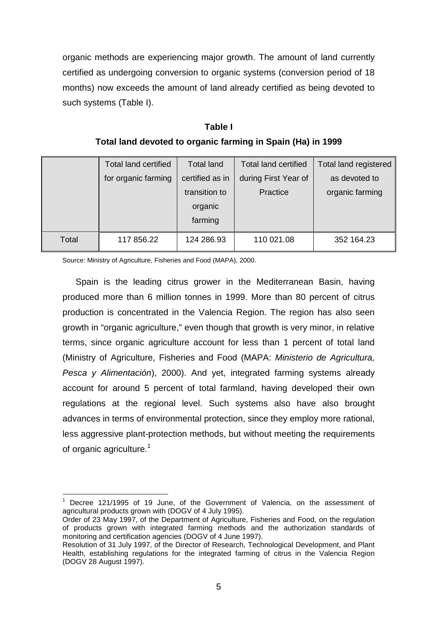organic methods are experiencing major growth. The amount of land currently certified as undergoing conversion to organic systems (conversion period of 18 months) now exceeds the amount of land already certified as being devoted to such systems (Table I).

| Table I                                                     |
|-------------------------------------------------------------|
| Total land devoted to organic farming in Spain (Ha) in 1999 |

|       | <b>Total land certified</b> | <b>Total land</b> | <b>Total land certified</b> | Total land registered |
|-------|-----------------------------|-------------------|-----------------------------|-----------------------|
|       | for organic farming         | certified as in   | during First Year of        | as devoted to         |
|       |                             | transition to     | Practice                    | organic farming       |
|       |                             | organic           |                             |                       |
|       |                             | farming           |                             |                       |
| Total | 117 856.22                  | 124 286.93        | 110 021.08                  | 352 164.23            |

Source: Ministry of Agriculture, Fisheries and Food (MAPA), 2000.

Spain is the leading citrus grower in the Mediterranean Basin, having produced more than 6 million tonnes in 1999. More than 80 percent of citrus production is concentrated in the Valencia Region. The region has also seen growth in "organic agriculture," even though that growth is very minor, in relative terms, since organic agriculture account for less than 1 percent of total land (Ministry of Agriculture, Fisheries and Food (MAPA: *Ministerio de Agricultura, Pesca y Alimentación*), 2000). And yet, integrated farming systems already account for around 5 percent of total farmland, having developed their own regulations at the regional level. Such systems also have also brought advances in terms of environmental protection, since they employ more rational, less aggressive plant-protection methods, but without meeting the requirements of organic agriculture.<sup>1</sup>

 $\overline{a}$ Decree 121/1995 of 19 June, of the Government of Valencia, on the assessment of agricultural products grown with (DOGV of 4 July 1995).

Order of 23 May 1997, of the Department of Agriculture, Fisheries and Food, on the regulation of products grown with integrated farming methods and the authorization standards of monitoring and certification agencies (DOGV of 4 June 1997).

Resolution of 31 July 1997, of the Director of Research, Technological Development, and Plant Health, establishing regulations for the integrated farming of citrus in the Valencia Region (DOGV 28 August 1997).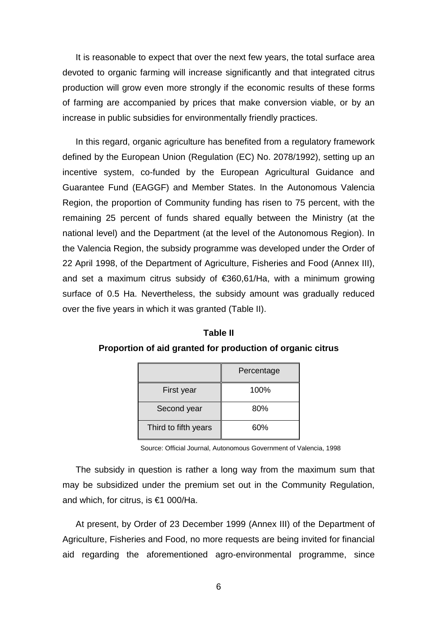It is reasonable to expect that over the next few years, the total surface area devoted to organic farming will increase significantly and that integrated citrus production will grow even more strongly if the economic results of these forms of farming are accompanied by prices that make conversion viable, or by an increase in public subsidies for environmentally friendly practices.

In this regard, organic agriculture has benefited from a regulatory framework defined by the European Union (Regulation (EC) No. 2078/1992), setting up an incentive system, co-funded by the European Agricultural Guidance and Guarantee Fund (EAGGF) and Member States. In the Autonomous Valencia Region, the proportion of Community funding has risen to 75 percent, with the remaining 25 percent of funds shared equally between the Ministry (at the national level) and the Department (at the level of the Autonomous Region). In the Valencia Region, the subsidy programme was developed under the Order of 22 April 1998, of the Department of Agriculture, Fisheries and Food (Annex III), and set a maximum citrus subsidy of €360,61/Ha, with a minimum growing surface of 0.5 Ha. Nevertheless, the subsidy amount was gradually reduced over the five years in which it was granted (Table II).

**Table II Proportion of aid granted for production of organic citrus**

|                      | Percentage |
|----------------------|------------|
| First year           | 100%       |
| Second year          | 80%        |
| Third to fifth years | 60%        |

Source: Official Journal, Autonomous Government of Valencia, 1998

The subsidy in question is rather a long way from the maximum sum that may be subsidized under the premium set out in the Community Regulation, and which, for citrus, is €1 000/Ha.

At present, by Order of 23 December 1999 (Annex III) of the Department of Agriculture, Fisheries and Food, no more requests are being invited for financial aid regarding the aforementioned agro-environmental programme, since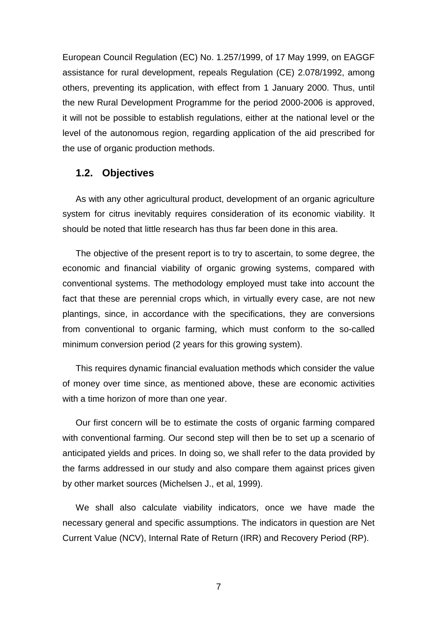European Council Regulation (EC) No. 1.257/1999, of 17 May 1999, on EAGGF assistance for rural development, repeals Regulation (CE) 2.078/1992, among others, preventing its application, with effect from 1 January 2000. Thus, until the new Rural Development Programme for the period 2000-2006 is approved, it will not be possible to establish regulations, either at the national level or the level of the autonomous region, regarding application of the aid prescribed for the use of organic production methods.

## **1.2. Objectives**

As with any other agricultural product, development of an organic agriculture system for citrus inevitably requires consideration of its economic viability. It should be noted that little research has thus far been done in this area.

The objective of the present report is to try to ascertain, to some degree, the economic and financial viability of organic growing systems, compared with conventional systems. The methodology employed must take into account the fact that these are perennial crops which, in virtually every case, are not new plantings, since, in accordance with the specifications, they are conversions from conventional to organic farming, which must conform to the so-called minimum conversion period (2 years for this growing system).

This requires dynamic financial evaluation methods which consider the value of money over time since, as mentioned above, these are economic activities with a time horizon of more than one year.

Our first concern will be to estimate the costs of organic farming compared with conventional farming. Our second step will then be to set up a scenario of anticipated yields and prices. In doing so, we shall refer to the data provided by the farms addressed in our study and also compare them against prices given by other market sources (Michelsen J., et al, 1999).

We shall also calculate viability indicators, once we have made the necessary general and specific assumptions. The indicators in question are Net Current Value (NCV), Internal Rate of Return (IRR) and Recovery Period (RP).

7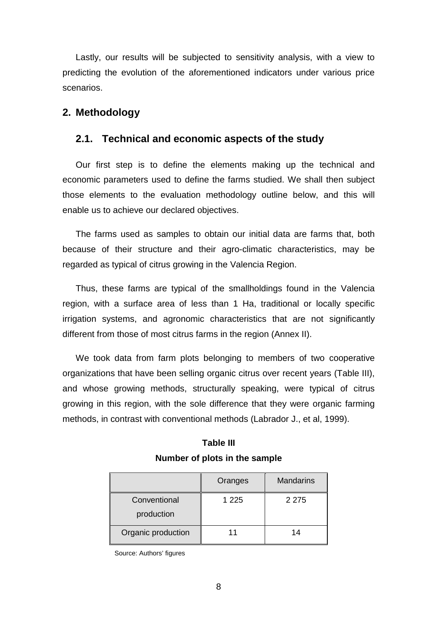Lastly, our results will be subjected to sensitivity analysis, with a view to predicting the evolution of the aforementioned indicators under various price scenarios.

## **2. Methodology**

## **2.1. Technical and economic aspects of the study**

Our first step is to define the elements making up the technical and economic parameters used to define the farms studied. We shall then subject those elements to the evaluation methodology outline below, and this will enable us to achieve our declared objectives.

The farms used as samples to obtain our initial data are farms that, both because of their structure and their agro-climatic characteristics, may be regarded as typical of citrus growing in the Valencia Region.

Thus, these farms are typical of the smallholdings found in the Valencia region, with a surface area of less than 1 Ha, traditional or locally specific irrigation systems, and agronomic characteristics that are not significantly different from those of most citrus farms in the region (Annex II).

We took data from farm plots belonging to members of two cooperative organizations that have been selling organic citrus over recent years (Table III), and whose growing methods, structurally speaking, were typical of citrus growing in this region, with the sole difference that they were organic farming methods, in contrast with conventional methods (Labrador J., et al, 1999).

| <b>Table III</b>              |  |  |  |  |  |
|-------------------------------|--|--|--|--|--|
| Number of plots in the sample |  |  |  |  |  |

|                            | Oranges | <b>Mandarins</b> |
|----------------------------|---------|------------------|
| Conventional<br>production | 1 2 2 5 | 2 2 7 5          |
| Organic production         |         | 14               |

Source: Authors' figures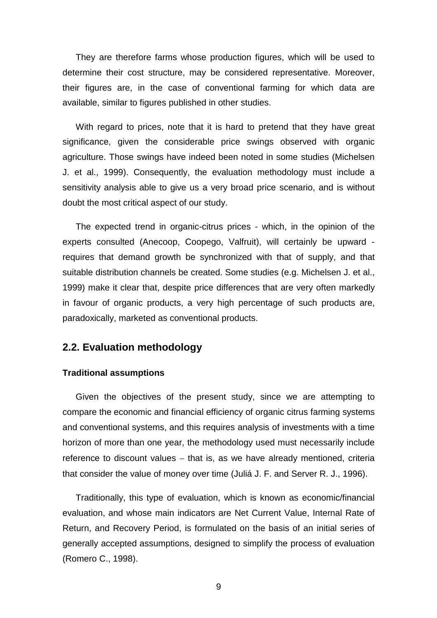They are therefore farms whose production figures, which will be used to determine their cost structure, may be considered representative. Moreover, their figures are, in the case of conventional farming for which data are available, similar to figures published in other studies.

With regard to prices, note that it is hard to pretend that they have great significance, given the considerable price swings observed with organic agriculture. Those swings have indeed been noted in some studies (Michelsen J. et al., 1999). Consequently, the evaluation methodology must include a sensitivity analysis able to give us a very broad price scenario, and is without doubt the most critical aspect of our study.

The expected trend in organic-citrus prices - which, in the opinion of the experts consulted (Anecoop, Coopego, Valfruit), will certainly be upward requires that demand growth be synchronized with that of supply, and that suitable distribution channels be created. Some studies (e.g. Michelsen J. et al., 1999) make it clear that, despite price differences that are very often markedly in favour of organic products, a very high percentage of such products are, paradoxically, marketed as conventional products.

## **2.2. Evaluation methodology**

#### **Traditional assumptions**

Given the objectives of the present study, since we are attempting to compare the economic and financial efficiency of organic citrus farming systems and conventional systems, and this requires analysis of investments with a time horizon of more than one year, the methodology used must necessarily include reference to discount values  $-$  that is, as we have already mentioned, criteria that consider the value of money over time (Juliá J. F. and Server R. J., 1996).

Traditionally, this type of evaluation, which is known as economic/financial evaluation, and whose main indicators are Net Current Value, Internal Rate of Return, and Recovery Period, is formulated on the basis of an initial series of generally accepted assumptions, designed to simplify the process of evaluation (Romero C., 1998).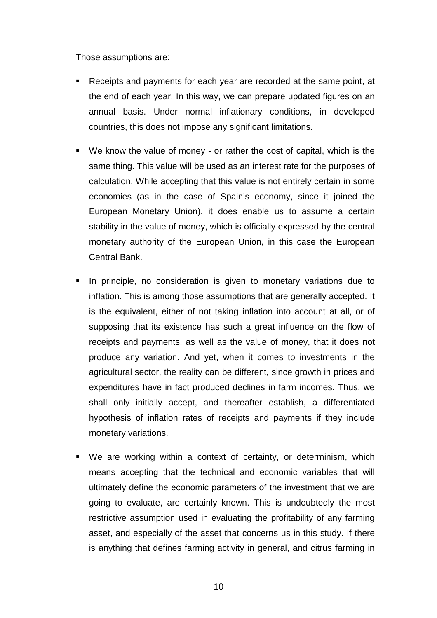Those assumptions are:

- Receipts and payments for each year are recorded at the same point, at the end of each year. In this way, we can prepare updated figures on an annual basis. Under normal inflationary conditions, in developed countries, this does not impose any significant limitations.
- We know the value of money or rather the cost of capital, which is the same thing. This value will be used as an interest rate for the purposes of calculation. While accepting that this value is not entirely certain in some economies (as in the case of Spain's economy, since it joined the European Monetary Union), it does enable us to assume a certain stability in the value of money, which is officially expressed by the central monetary authority of the European Union, in this case the European Central Bank.
- In principle, no consideration is given to monetary variations due to inflation. This is among those assumptions that are generally accepted. It is the equivalent, either of not taking inflation into account at all, or of supposing that its existence has such a great influence on the flow of receipts and payments, as well as the value of money, that it does not produce any variation. And yet, when it comes to investments in the agricultural sector, the reality can be different, since growth in prices and expenditures have in fact produced declines in farm incomes. Thus, we shall only initially accept, and thereafter establish, a differentiated hypothesis of inflation rates of receipts and payments if they include monetary variations.
- We are working within a context of certainty, or determinism, which means accepting that the technical and economic variables that will ultimately define the economic parameters of the investment that we are going to evaluate, are certainly known. This is undoubtedly the most restrictive assumption used in evaluating the profitability of any farming asset, and especially of the asset that concerns us in this study. If there is anything that defines farming activity in general, and citrus farming in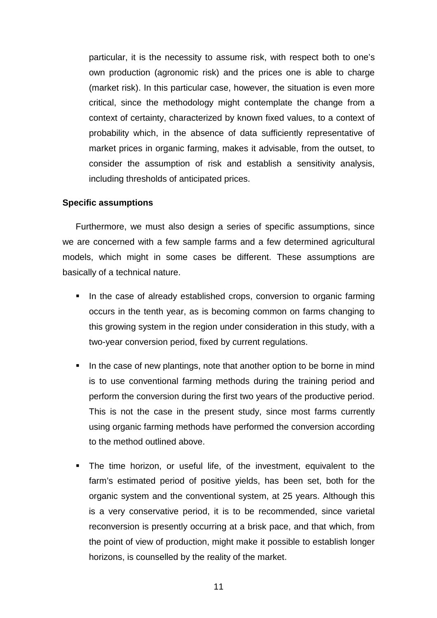particular, it is the necessity to assume risk, with respect both to one's own production (agronomic risk) and the prices one is able to charge (market risk). In this particular case, however, the situation is even more critical, since the methodology might contemplate the change from a context of certainty, characterized by known fixed values, to a context of probability which, in the absence of data sufficiently representative of market prices in organic farming, makes it advisable, from the outset, to consider the assumption of risk and establish a sensitivity analysis, including thresholds of anticipated prices.

#### **Specific assumptions**

Furthermore, we must also design a series of specific assumptions, since we are concerned with a few sample farms and a few determined agricultural models, which might in some cases be different. These assumptions are basically of a technical nature.

- In the case of already established crops, conversion to organic farming occurs in the tenth year, as is becoming common on farms changing to this growing system in the region under consideration in this study, with a two-year conversion period, fixed by current regulations.
- In the case of new plantings, note that another option to be borne in mind is to use conventional farming methods during the training period and perform the conversion during the first two years of the productive period. This is not the case in the present study, since most farms currently using organic farming methods have performed the conversion according to the method outlined above.
- The time horizon, or useful life, of the investment, equivalent to the farm's estimated period of positive yields, has been set, both for the organic system and the conventional system, at 25 years. Although this is a very conservative period, it is to be recommended, since varietal reconversion is presently occurring at a brisk pace, and that which, from the point of view of production, might make it possible to establish longer horizons, is counselled by the reality of the market.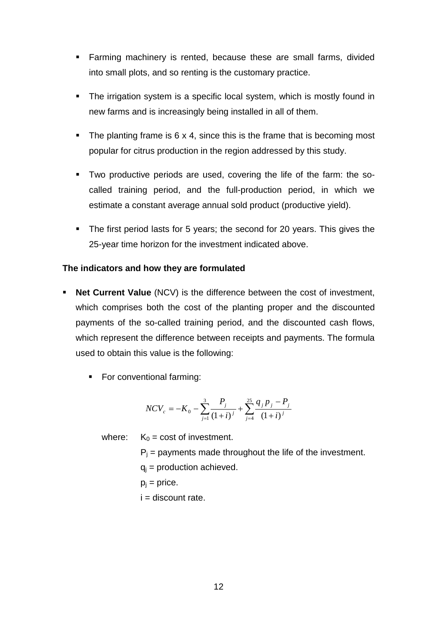- **Farming machinery is rented, because these are small farms, divided** into small plots, and so renting is the customary practice.
- The irrigation system is a specific local system, which is mostly found in new farms and is increasingly being installed in all of them.
- The planting frame is  $6 \times 4$ , since this is the frame that is becoming most popular for citrus production in the region addressed by this study.
- Two productive periods are used, covering the life of the farm: the socalled training period, and the full-production period, in which we estimate a constant average annual sold product (productive yield).
- The first period lasts for 5 years; the second for 20 years. This gives the 25-year time horizon for the investment indicated above.

#### **The indicators and how they are formulated**

- **Net Current Value** (NCV) is the difference between the cost of investment, which comprises both the cost of the planting proper and the discounted payments of the so-called training period, and the discounted cash flows, which represent the difference between receipts and payments. The formula used to obtain this value is the following:
	- For conventional farming:

$$
NCV_c = -K_0 - \sum_{j=1}^{3} \frac{P_j}{(1+i)^j} + \sum_{j=4}^{25} \frac{q_j p_j - P_j}{(1+i)^j}
$$

where:  $K_0 = \text{cost of investment.}$ 

- $P_i$  = payments made throughout the life of the investment.  $q_i$  = production achieved.  $p_i$  = price.
- $i =$  discount rate.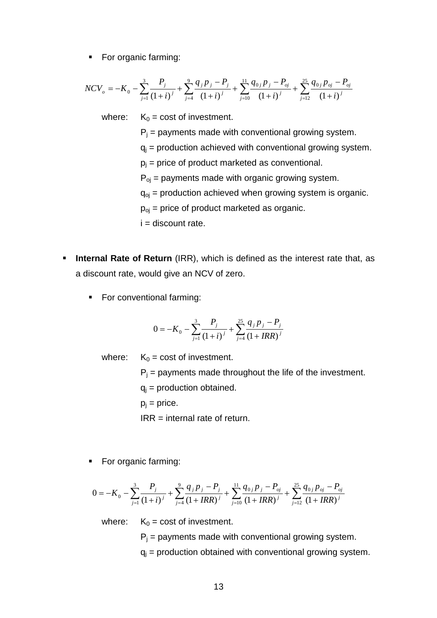• For organic farming:

$$
NCV_o = -K_0 - \sum_{j=1}^3 \frac{P_j}{(1+i)^j} + \sum_{j=4}^9 \frac{q_j p_j - P_j}{(1+i)^j} + \sum_{j=10}^{11} \frac{q_{0j} p_j - P_{oj}}{(1+i)^j} + \sum_{j=12}^{25} \frac{q_{0j} p_{oj} - p_{oj}}{(1+i)^j}
$$

where:  $K_0 = \text{cost of investment.}$ 

 $P_i$  = payments made with conventional growing system.

- $q_i$  = production achieved with conventional growing system.
- $p_i$  = price of product marketed as conventional.

 $P_{oi}$  = payments made with organic growing system.

 $q_{oj}$  = production achieved when growing system is organic.

 $p_{oi}$  = price of product marketed as organic.

 $i =$  discount rate.

- **Internal Rate of Return** (IRR), which is defined as the interest rate that, as a discount rate, would give an NCV of zero.
	- **For conventional farming:**

$$
0 = -K_0 - \sum_{j=1}^{3} \frac{P_j}{(1+i)^j} + \sum_{j=4}^{25} \frac{q_j p_j - P_j}{(1 + IRR)^j}
$$

where:  $K_0 = \text{cost of investment.}$ 

 $P_i$  = payments made throughout the life of the investment.

 $q_i$  = production obtained.

 $p_i$  = price.

IRR = internal rate of return.

• For organic farming:

$$
0 = -K_0 - \sum_{j=1}^3 \frac{P_j}{(1+i)^j} + \sum_{j=4}^9 \frac{q_j p_j - P_j}{(1+IRR)^j} + \sum_{j=10}^{11} \frac{q_{0j} p_j - P_{oj}}{(1+IRR)^j} + \sum_{j=12}^{25} \frac{q_{0j} p_{oj} - P_{oj}}{(1+IRR)^j}
$$

where:  $K_0 = \text{cost of investment.}$ 

 $P_i$  = payments made with conventional growing system.

 $q_i$  = production obtained with conventional growing system.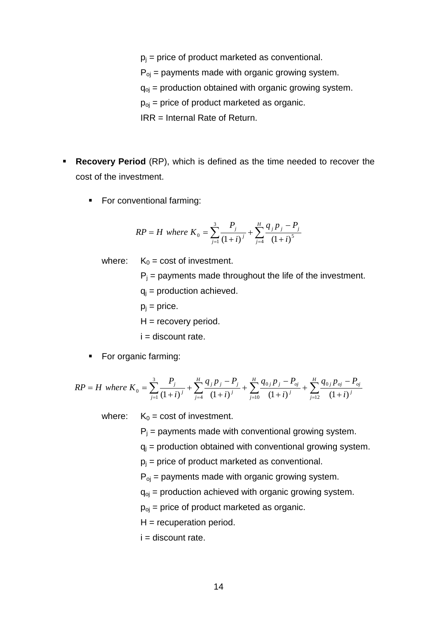- $p_i$  = price of product marketed as conventional.
- $P_{oj}$  = payments made with organic growing system.
- $q_{oj}$  = production obtained with organic growing system.
- $p_{oj}$  = price of product marketed as organic.
- IRR = Internal Rate of Return.
- **Recovery Period** (RP), which is defined as the time needed to recover the cost of the investment.
	- **For conventional farming:**

$$
RP = H \text{ where } K_0 = \sum_{j=1}^{3} \frac{P_j}{(1+i)^j} + \sum_{j=4}^{H} \frac{q_j p_j - P_j}{(1+i)^5}
$$

where:  $K_0 = \text{cost of investment.}$ 

 $P_i$  = payments made throughout the life of the investment.  $q_i$  = production achieved.  $p_i$  = price.  $H =$  recovery period.  $i =$  discount rate.

• For organic farming:

$$
RP = H \text{ where } K_0 = \sum_{j=1}^3 \frac{P_j}{(1+i)^j} + \sum_{j=4}^H \frac{q_j p_j - P_j}{(1+i)^j} + \sum_{j=10}^H \frac{q_{0j} p_j - P_{oj}}{(1+i)^j} + \sum_{j=12}^H \frac{q_{0j} p_{oj} - p_{oj}}{(1+i)^j}
$$

where:  $K_0 = \text{cost of investment.}$ 

 $P_i$  = payments made with conventional growing system.

- $q_i$  = production obtained with conventional growing system.
- $p_i$  = price of product marketed as conventional.
- $P_{oi}$  = payments made with organic growing system.

 $q_{oj}$  = production achieved with organic growing system.

- $p_{oj}$  = price of product marketed as organic.
- $H =$  recuperation period.
- $i =$  discount rate.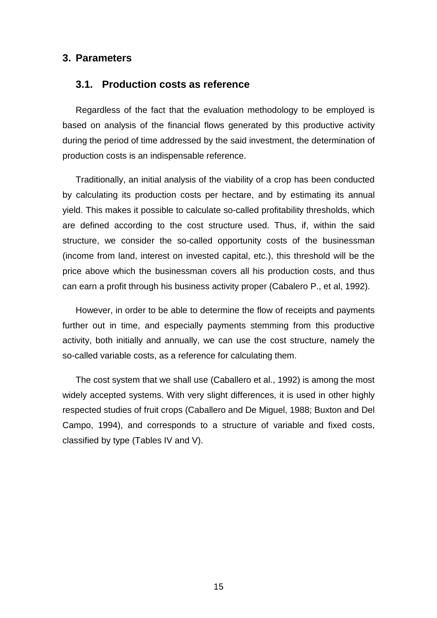## **3. Parameters**

## **3.1. Production costs as reference**

Regardless of the fact that the evaluation methodology to be employed is based on analysis of the financial flows generated by this productive activity during the period of time addressed by the said investment, the determination of production costs is an indispensable reference.

Traditionally, an initial analysis of the viability of a crop has been conducted by calculating its production costs per hectare, and by estimating its annual yield. This makes it possible to calculate so-called profitability thresholds, which are defined according to the cost structure used. Thus, if, within the said structure, we consider the so-called opportunity costs of the businessman (income from land, interest on invested capital, etc.), this threshold will be the price above which the businessman covers all his production costs, and thus can earn a profit through his business activity proper (Cabalero P., et al, 1992).

However, in order to be able to determine the flow of receipts and payments further out in time, and especially payments stemming from this productive activity, both initially and annually, we can use the cost structure, namely the so-called variable costs, as a reference for calculating them.

The cost system that we shall use (Caballero et al., 1992) is among the most widely accepted systems. With very slight differences, it is used in other highly respected studies of fruit crops (Caballero and De Miguel, 1988; Buxton and Del Campo, 1994), and corresponds to a structure of variable and fixed costs, classified by type (Tables IV and V).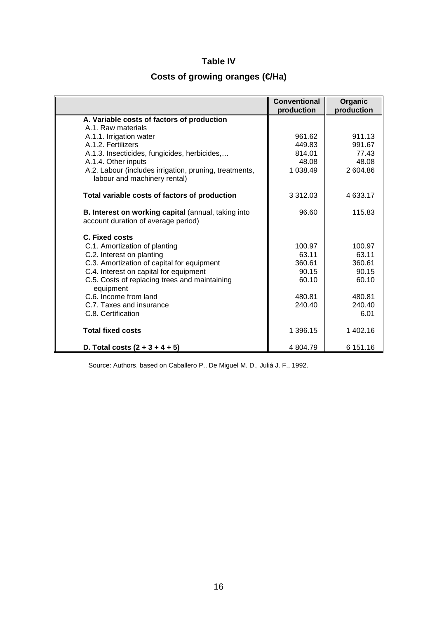## **Table IV**

# Costs of growing oranges (**€/Ha**)

|                                                                                            | <b>Conventional</b><br>production | Organic<br>production |
|--------------------------------------------------------------------------------------------|-----------------------------------|-----------------------|
| A. Variable costs of factors of production                                                 |                                   |                       |
| A.1. Raw materials                                                                         |                                   |                       |
| A.1.1. Irrigation water                                                                    | 961.62                            | 911.13                |
| A.1.2. Fertilizers                                                                         | 449.83                            | 991.67                |
| A.1.3. Insecticides, fungicides, herbicides,                                               | 814.01                            | 77.43                 |
| A.1.4. Other inputs                                                                        | 48.08                             | 48.08                 |
| A.2. Labour (includes irrigation, pruning, treatments,<br>labour and machinery rental)     | 1 038.49                          | 2 604.86              |
| Total variable costs of factors of production                                              | 3 312.03                          | 4 633.17              |
| B. Interest on working capital (annual, taking into<br>account duration of average period) | 96.60                             | 115.83                |
| C. Fixed costs                                                                             |                                   |                       |
| C.1. Amortization of planting                                                              | 100.97                            | 100.97                |
| C.2. Interest on planting                                                                  | 63.11                             | 63.11                 |
| C.3. Amortization of capital for equipment                                                 | 360.61                            | 360.61                |
| C.4. Interest on capital for equipment                                                     | 90.15                             | 90.15                 |
| C.5. Costs of replacing trees and maintaining<br>equipment                                 | 60.10                             | 60.10                 |
| C.6. Income from land                                                                      | 480.81                            | 480.81                |
| C.7. Taxes and insurance                                                                   | 240.40                            | 240.40                |
| C.8. Certification                                                                         |                                   | 6.01                  |
| <b>Total fixed costs</b>                                                                   | 1 396.15                          | 1 402.16              |
| D. Total costs $(2 + 3 + 4 + 5)$                                                           | 4 804.79                          | 6 151.16              |

Source: Authors, based on Caballero P., De Miguel M. D., Juliá J. F., 1992.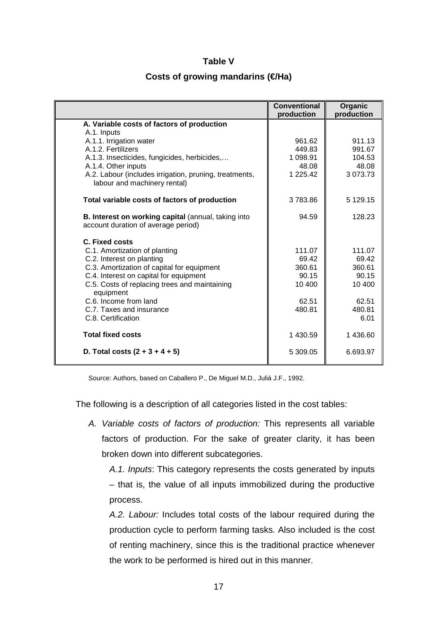#### **Table V**

#### **Costs of growing mandarins (€Ha)**

|                                                                                                   | Conventional<br>production | Organic<br>production |
|---------------------------------------------------------------------------------------------------|----------------------------|-----------------------|
| A. Variable costs of factors of production                                                        |                            |                       |
| A.1. Inputs                                                                                       |                            |                       |
| A.1.1. Irrigation water                                                                           | 961.62                     | 911.13                |
| A.1.2. Fertilizers                                                                                | 449.83                     | 991.67                |
| A.1.3. Insecticides, fungicides, herbicides,                                                      | 1 098.91                   | 104.53                |
| A.1.4. Other inputs                                                                               | 48.08                      | 48.08                 |
| A.2. Labour (includes irrigation, pruning, treatments,<br>labour and machinery rental)            | 1 225.42                   | 3 073.73              |
| Total variable costs of factors of production                                                     | 3783.86                    | 5 129.15              |
| <b>B. Interest on working capital (annual, taking into</b><br>account duration of average period) | 94.59                      | 128.23                |
| C. Fixed costs                                                                                    |                            |                       |
| C.1. Amortization of planting                                                                     | 111.07                     | 111.07                |
| C.2. Interest on planting                                                                         | 69.42                      | 69.42                 |
| C.3. Amortization of capital for equipment                                                        | 360.61                     | 360.61                |
| C.4. Interest on capital for equipment                                                            | 90.15                      | 90.15                 |
| C.5. Costs of replacing trees and maintaining<br>equipment                                        | 10 400                     | 10 400                |
| C.6. Income from land                                                                             | 62.51                      | 62.51                 |
| C.7. Taxes and insurance                                                                          | 480.81                     | 480.81                |
| C.8. Certification                                                                                |                            | 6.01                  |
| <b>Total fixed costs</b>                                                                          | 1 430.59                   | 1436.60               |
| D. Total costs $(2 + 3 + 4 + 5)$                                                                  | 5 309.05                   | 6.693.97              |

Source: Authors, based on Caballero P., De Miguel M.D., Juliá J.F., 1992.

The following is a description of all categories listed in the cost tables:

*A. Variable costs of factors of production:* This represents all variable factors of production. For the sake of greater clarity, it has been broken down into different subcategories.

*A.1. Inputs*: This category represents the costs generated by inputs – that is, the value of all inputs immobilized during the productive process.

*A.2. Labour:* Includes total costs of the labour required during the production cycle to perform farming tasks. Also included is the cost of renting machinery, since this is the traditional practice whenever the work to be performed is hired out in this manner.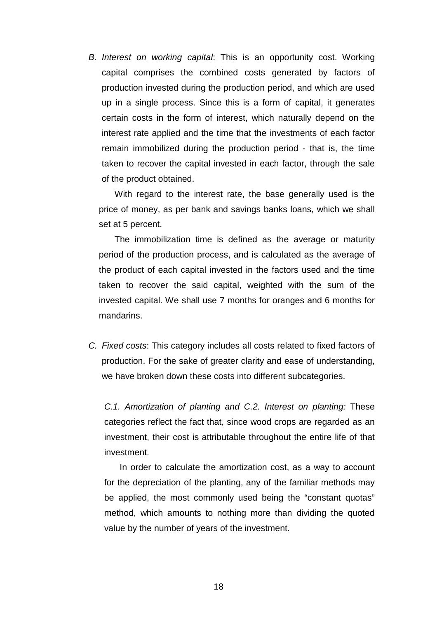*B. Interest on working capital*: This is an opportunity cost. Working capital comprises the combined costs generated by factors of production invested during the production period, and which are used up in a single process. Since this is a form of capital, it generates certain costs in the form of interest, which naturally depend on the interest rate applied and the time that the investments of each factor remain immobilized during the production period - that is, the time taken to recover the capital invested in each factor, through the sale of the product obtained.

With regard to the interest rate, the base generally used is the price of money, as per bank and savings banks loans, which we shall set at 5 percent.

The immobilization time is defined as the average or maturity period of the production process, and is calculated as the average of the product of each capital invested in the factors used and the time taken to recover the said capital, weighted with the sum of the invested capital. We shall use 7 months for oranges and 6 months for mandarins.

*C. Fixed costs*: This category includes all costs related to fixed factors of production. For the sake of greater clarity and ease of understanding, we have broken down these costs into different subcategories.

*C.1. Amortization of planting and C.2. Interest on planting:* These categories reflect the fact that, since wood crops are regarded as an investment, their cost is attributable throughout the entire life of that investment.

In order to calculate the amortization cost, as a way to account for the depreciation of the planting, any of the familiar methods may be applied, the most commonly used being the "constant quotas" method, which amounts to nothing more than dividing the quoted value by the number of years of the investment.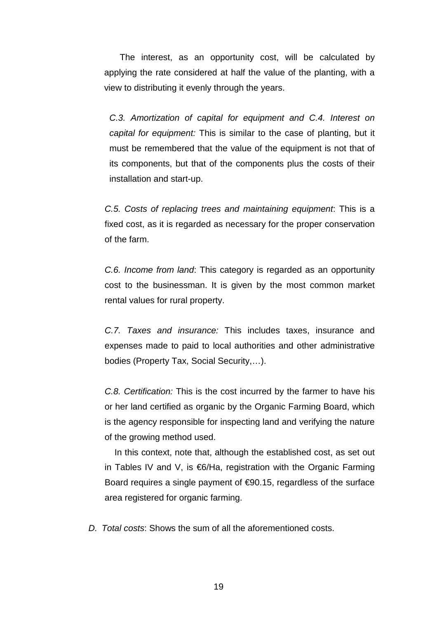The interest, as an opportunity cost, will be calculated by applying the rate considered at half the value of the planting, with a view to distributing it evenly through the years.

*C.3. Amortization of capital for equipment and C.4. Interest on capital for equipment:* This is similar to the case of planting, but it must be remembered that the value of the equipment is not that of its components, but that of the components plus the costs of their installation and start-up.

*C.5. Costs of replacing trees and maintaining equipment*: This is a fixed cost, as it is regarded as necessary for the proper conservation of the farm.

*C.6. Income from land*: This category is regarded as an opportunity cost to the businessman. It is given by the most common market rental values for rural property.

*C.7. Taxes and insurance:* This includes taxes, insurance and expenses made to paid to local authorities and other administrative bodies (Property Tax, Social Security,…).

*C.8. Certification:* This is the cost incurred by the farmer to have his or her land certified as organic by the Organic Farming Board, which is the agency responsible for inspecting land and verifying the nature of the growing method used.

In this context, note that, although the established cost, as set out in Tables IV and V, is €6/Ha, registration with the Organic Farming Board requires a single payment of €90.15, regardless of the surface area registered for organic farming.

*D. Total costs*: Shows the sum of all the aforementioned costs.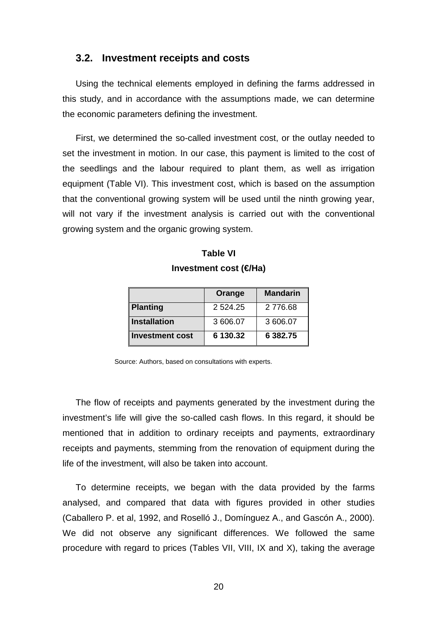#### **3.2. Investment receipts and costs**

Using the technical elements employed in defining the farms addressed in this study, and in accordance with the assumptions made, we can determine the economic parameters defining the investment.

First, we determined the so-called investment cost, or the outlay needed to set the investment in motion. In our case, this payment is limited to the cost of the seedlings and the labour required to plant them, as well as irrigation equipment (Table VI). This investment cost, which is based on the assumption that the conventional growing system will be used until the ninth growing year, will not vary if the investment analysis is carried out with the conventional growing system and the organic growing system.

|                        | Orange      | <b>Mandarin</b> |
|------------------------|-------------|-----------------|
| Planting               | 2 5 2 4 2 5 | 2 776.68        |
| Installation           | 3 606.07    | 3 606.07        |
| <b>Investment cost</b> | 6 130.32    | 6 382.75        |

| <b>Table VI</b>       |  |
|-----------------------|--|
| Investment cost (€Ha) |  |

Source: Authors, based on consultations with experts.

The flow of receipts and payments generated by the investment during the investment's life will give the so-called cash flows. In this regard, it should be mentioned that in addition to ordinary receipts and payments, extraordinary receipts and payments, stemming from the renovation of equipment during the life of the investment, will also be taken into account.

To determine receipts, we began with the data provided by the farms analysed, and compared that data with figures provided in other studies (Caballero P. et al, 1992, and Roselló J., Domínguez A., and Gascón A., 2000). We did not observe any significant differences. We followed the same procedure with regard to prices (Tables VII, VIII, IX and X), taking the average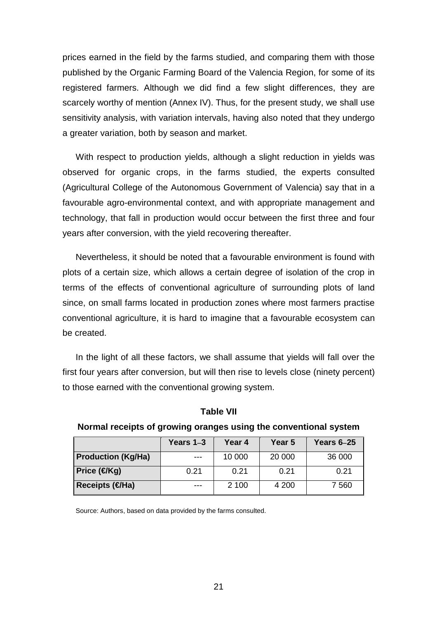prices earned in the field by the farms studied, and comparing them with those published by the Organic Farming Board of the Valencia Region, for some of its registered farmers. Although we did find a few slight differences, they are scarcely worthy of mention (Annex IV). Thus, for the present study, we shall use sensitivity analysis, with variation intervals, having also noted that they undergo a greater variation, both by season and market.

With respect to production yields, although a slight reduction in yields was observed for organic crops, in the farms studied, the experts consulted (Agricultural College of the Autonomous Government of Valencia) say that in a favourable agro-environmental context, and with appropriate management and technology, that fall in production would occur between the first three and four years after conversion, with the yield recovering thereafter.

Nevertheless, it should be noted that a favourable environment is found with plots of a certain size, which allows a certain degree of isolation of the crop in terms of the effects of conventional agriculture of surrounding plots of land since, on small farms located in production zones where most farmers practise conventional agriculture, it is hard to imagine that a favourable ecosystem can be created.

In the light of all these factors, we shall assume that yields will fall over the first four years after conversion, but will then rise to levels close (ninety percent) to those earned with the conventional growing system.

|                           | Years 1–3 | Year 4 | Year 5 | Years 6-25 |
|---------------------------|-----------|--------|--------|------------|
| <b>Production (Kg/Ha)</b> | $---$     | 10 000 | 20 000 | 36 000     |
| Price (€Kg)               | 0.21      | 0.21   | 0.21   | 0.21       |
| Receipts (€Ha)            | ---       | 2 100  | 4 200  | 7 560      |

#### **Table VII**

#### **Normal receipts of growing oranges using the conventional system**

Source: Authors, based on data provided by the farms consulted.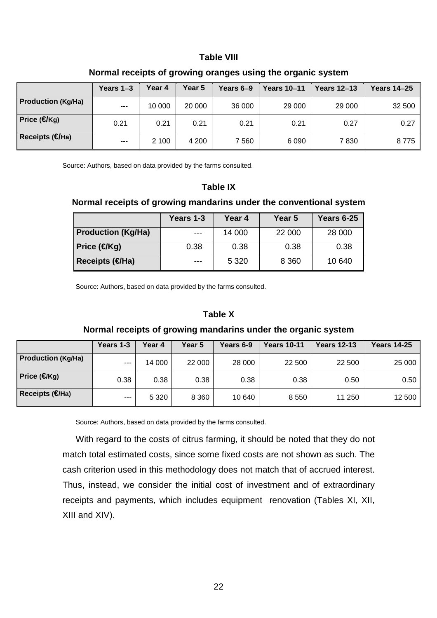#### **Table VIII**

|                               | Years 1-3 | Year 4 | Year 5 | Years 6-9 | <b>Years 10-11</b> | <b>Years 12–13</b> | <b>Years 14–25</b> |
|-------------------------------|-----------|--------|--------|-----------|--------------------|--------------------|--------------------|
| Production (Kg/Ha)            | $---$     | 10 000 | 20 000 | 36 000    | 29 000             | 29 000             | 32 500             |
| Price ( $\bigcirc$ Kg)        | 0.21      | 0.21   | 0.21   | 0.21      | 0.21               | 0.27               | 0.27               |
| ∥Receipts ( <del>€</del> /Ha) | $---$     | 2 100  | 4 200  | 7 560     | 6090               | 7830               | 8775               |

#### **Normal receipts of growing oranges using the organic system**

Source: Authors, based on data provided by the farms consulted.

#### **Table IX**

#### **Normal receipts of growing mandarins under the conventional system**

|                           | Years 1-3 | Year 4  | Year 5  | <b>Years 6-25</b> |
|---------------------------|-----------|---------|---------|-------------------|
| <b>Production (Kg/Ha)</b> | ---       | 14 000  | 22 000  | 28 000            |
| Price (€Kg)               | 0.38      | 0.38    | 0.38    | 0.38              |
| Receipts (€Ha)            | ---       | 5 3 2 0 | 8 3 6 0 | 10 640            |

Source: Authors, based on data provided by the farms consulted.

#### **Table X**

#### **Normal receipts of growing mandarins under the organic system**

|                           | Years 1-3 | Year 4  | Year 5  | Years 6-9 | <b>Years 10-11</b> | <b>Years 12-13</b> | <b>Years 14-25</b> |
|---------------------------|-----------|---------|---------|-----------|--------------------|--------------------|--------------------|
| <b>Production (Kg/Ha)</b> | $- - -$   | 14 000  | 22 000  | 28 000    | 22 500             | 22 500             | 25 000             |
| Price $(\oplus Kg)$       | 0.38      | 0.38    | 0.38    | 0.38      | 0.38               | 0.50               | 0.50               |
| Receipts $(\bigoplus$ Ha) | $---$     | 5 3 2 0 | 8 3 6 0 | 10 640    | 8 5 5 0            | 11 250             | 12 500             |

Source: Authors, based on data provided by the farms consulted.

With regard to the costs of citrus farming, it should be noted that they do not match total estimated costs, since some fixed costs are not shown as such. The cash criterion used in this methodology does not match that of accrued interest. Thus, instead, we consider the initial cost of investment and of extraordinary receipts and payments, which includes equipment renovation (Tables XI, XII, XIII and XIV).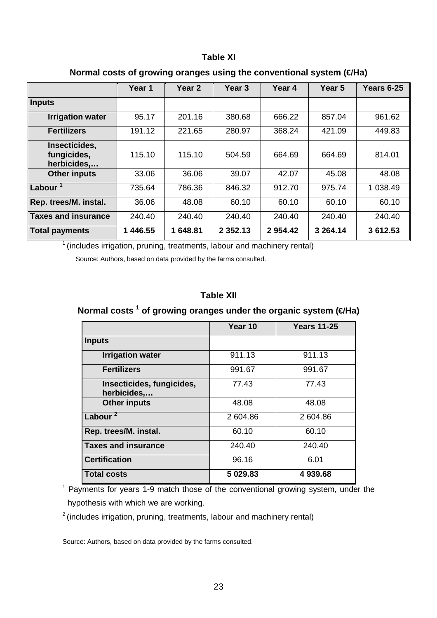#### **Table XI**

|                                             | Year 1   | Year <sub>2</sub> | Year <sub>3</sub> | Year 4  | Year <sub>5</sub> | <b>Years 6-25</b> |
|---------------------------------------------|----------|-------------------|-------------------|---------|-------------------|-------------------|
| <b>Inputs</b>                               |          |                   |                   |         |                   |                   |
| <b>Irrigation water</b>                     | 95.17    | 201.16            | 380.68            | 666.22  | 857.04            | 961.62            |
| <b>Fertilizers</b>                          | 191.12   | 221.65            | 280.97            | 368.24  | 421.09            | 449.83            |
| Insecticides,<br>fungicides,<br>herbicides, | 115.10   | 115.10            | 504.59            | 664.69  | 664.69            | 814.01            |
| <b>Other inputs</b>                         | 33.06    | 36.06             | 39.07             | 42.07   | 45.08             | 48.08             |
| Labour $1$                                  | 735.64   | 786.36            | 846.32            | 912.70  | 975.74            | 1 038.49          |
| Rep. trees/M. instal.                       | 36.06    | 48.08             | 60.10             | 60.10   | 60.10             | 60.10             |
| <b>Taxes and insurance</b>                  | 240.40   | 240.40            | 240.40            | 240.40  | 240.40            | 240.40            |
| <b>Total payments</b>                       | 1 446.55 | 648.81<br>1       | 2 3 5 2 . 1 3     | 2954.42 | 3 264.14          | 3 612.53          |

## Normal costs of growing oranges using the conventional system (€Ha)

 $1$  (includes irrigation, pruning, treatments, labour and machinery rental)

Source: Authors, based on data provided by the farms consulted.

## **Table XII**

**Normal costs <sup>1</sup> of growing oranges under the organic system (€Ha)** 

|                                          | Year 10  | <b>Years 11-25</b> |
|------------------------------------------|----------|--------------------|
| <b>Inputs</b>                            |          |                    |
| <b>Irrigation water</b>                  | 911.13   | 911.13             |
| <b>Fertilizers</b>                       | 991.67   | 991.67             |
| Insecticides, fungicides,<br>herbicides, | 77.43    | 77.43              |
| <b>Other inputs</b>                      | 48.08    | 48.08              |
| Labour <sup>2</sup>                      | 2 604.86 | 2 604.86           |
| Rep. trees/M. instal.                    | 60.10    | 60.10              |
| <b>Taxes and insurance</b>               | 240.40   | 240.40             |
| <b>Certification</b>                     | 96.16    | 6.01               |
| <b>Total costs</b>                       | 5 029.83 | 4939.68            |

<sup>1</sup> Payments for years 1-9 match those of the conventional growing system, under the hypothesis with which we are working.

 $2$  (includes irrigation, pruning, treatments, labour and machinery rental)

Source: Authors, based on data provided by the farms consulted.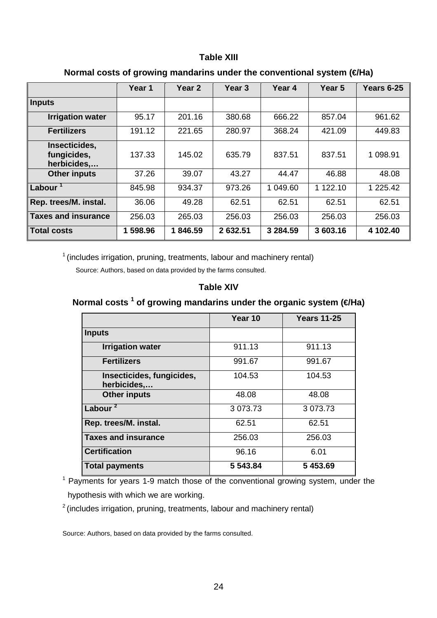#### **Table XIII**

|                                             | Year 1   | Year <sub>2</sub> | Year <sub>3</sub> | Year 4   | Year <sub>5</sub> | Years 6-25 |
|---------------------------------------------|----------|-------------------|-------------------|----------|-------------------|------------|
| Inputs                                      |          |                   |                   |          |                   |            |
| <b>Irrigation water</b>                     | 95.17    | 201.16            | 380.68            | 666.22   | 857.04            | 961.62     |
| <b>Fertilizers</b>                          | 191.12   | 221.65            | 280.97            | 368.24   | 421.09            | 449.83     |
| Insecticides,<br>fungicides,<br>herbicides, | 137.33   | 145.02            | 635.79            | 837.51   | 837.51            | 1 098.91   |
| <b>Other inputs</b>                         | 37.26    | 39.07             | 43.27             | 44.47    | 46.88             | 48.08      |
| Labour <sup>1</sup>                         | 845.98   | 934.37            | 973.26            | 1 049.60 | 122.10<br>1       | 1 225.42   |
| Rep. trees/M. instal.                       | 36.06    | 49.28             | 62.51             | 62.51    | 62.51             | 62.51      |
| Taxes and insurance                         | 256.03   | 265.03            | 256.03            | 256.03   | 256.03            | 256.03     |
| <b>Total costs</b>                          | 1 598.96 | 1846.59           | 2 632.51          | 3 284.59 | 3 603.16          | 4 102.40   |

## Normal costs of growing mandarins under the conventional system (**€/Ha**)

 $1$  (includes irrigation, pruning, treatments, labour and machinery rental)

Source: Authors, based on data provided by the farms consulted.

#### **Table XIV**

## **Normal costs <sup>1</sup> of growing mandarins under the organic system (€/Ha)**

|                                          | Year 10       | <b>Years 11-25</b> |
|------------------------------------------|---------------|--------------------|
| <b>Inputs</b>                            |               |                    |
| <b>Irrigation water</b>                  | 911.13        | 911.13             |
| <b>Fertilizers</b>                       | 991.67        | 991.67             |
| Insecticides, fungicides,<br>herbicides, | 104.53        | 104.53             |
| <b>Other inputs</b>                      | 48.08         | 48.08              |
| Labour <sup>2</sup>                      | 3 0 7 3 . 7 3 | 3 0 7 3 . 7 3      |
| Rep. trees/M. instal.                    | 62.51         | 62.51              |
| <b>Taxes and insurance</b>               | 256.03        | 256.03             |
| <b>Certification</b>                     | 96.16         | 6.01               |
| <b>Total payments</b>                    | 5 543.84      | 5 453.69           |

<sup>1</sup> Payments for years 1-9 match those of the conventional growing system, under the hypothesis with which we are working.

<sup>2</sup> (includes irrigation, pruning, treatments, labour and machinery rental)

Source: Authors, based on data provided by the farms consulted.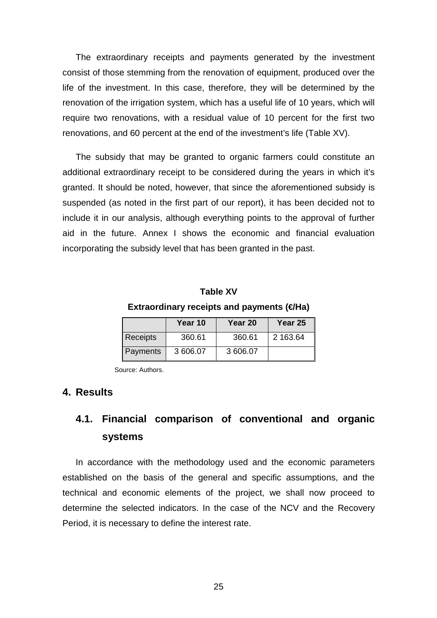The extraordinary receipts and payments generated by the investment consist of those stemming from the renovation of equipment, produced over the life of the investment. In this case, therefore, they will be determined by the renovation of the irrigation system, which has a useful life of 10 years, which will require two renovations, with a residual value of 10 percent for the first two renovations, and 60 percent at the end of the investment's life (Table XV).

The subsidy that may be granted to organic farmers could constitute an additional extraordinary receipt to be considered during the years in which it's granted. It should be noted, however, that since the aforementioned subsidy is suspended (as noted in the first part of our report), it has been decided not to include it in our analysis, although everything points to the approval of further aid in the future. Annex I shows the economic and financial evaluation incorporating the subsidy level that has been granted in the past.

**Table XV Extraordinary receipts and payments (€Ha)** 

|                 | Year 10  | Year 20  | Year 25  |
|-----------------|----------|----------|----------|
| <b>Receipts</b> | 360.61   | 360.61   | 2 163.64 |
| Payments        | 3 606.07 | 3 606.07 |          |

Source: Authors.

## **4. Results**

# **4.1. Financial comparison of conventional and organic systems**

In accordance with the methodology used and the economic parameters established on the basis of the general and specific assumptions, and the technical and economic elements of the project, we shall now proceed to determine the selected indicators. In the case of the NCV and the Recovery Period, it is necessary to define the interest rate.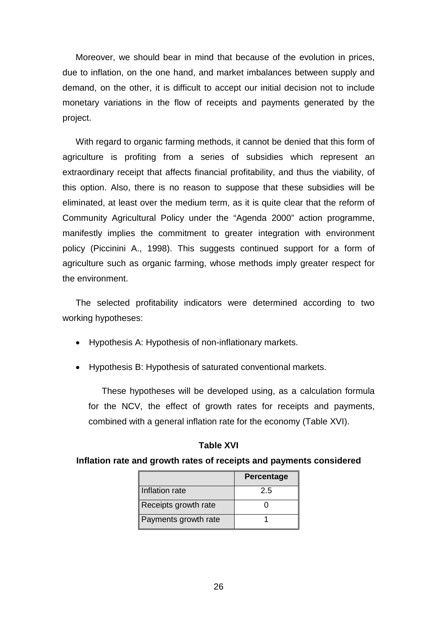Moreover, we should bear in mind that because of the evolution in prices, due to inflation, on the one hand, and market imbalances between supply and demand, on the other, it is difficult to accept our initial decision not to include monetary variations in the flow of receipts and payments generated by the project.

With regard to organic farming methods, it cannot be denied that this form of agriculture is profiting from a series of subsidies which represent an extraordinary receipt that affects financial profitability, and thus the viability, of this option. Also, there is no reason to suppose that these subsidies will be eliminated, at least over the medium term, as it is quite clear that the reform of Community Agricultural Policy under the "Agenda 2000" action programme, manifestly implies the commitment to greater integration with environment policy (Piccinini A., 1998). This suggests continued support for a form of agriculture such as organic farming, whose methods imply greater respect for the environment.

The selected profitability indicators were determined according to two working hypotheses:

- Hypothesis A: Hypothesis of non-inflationary markets.
- Hypothesis B: Hypothesis of saturated conventional markets.

These hypotheses will be developed using, as a calculation formula for the NCV, the effect of growth rates for receipts and payments, combined with a general inflation rate for the economy (Table XVI).

#### **Table XVI**

#### **Inflation rate and growth rates of receipts and payments considered**

|                      | Percentage |
|----------------------|------------|
| Inflation rate       | 2.5        |
| Receipts growth rate |            |
| Payments growth rate |            |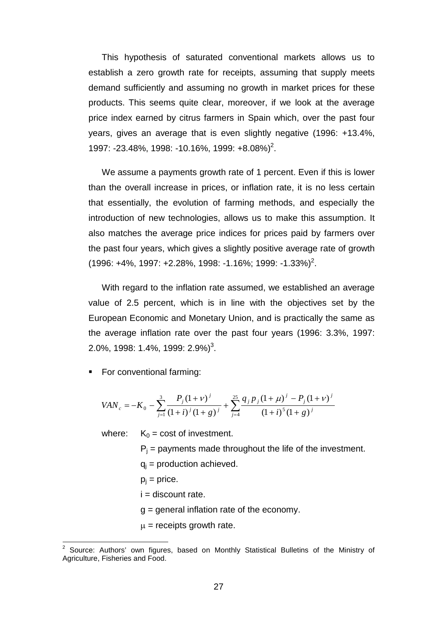This hypothesis of saturated conventional markets allows us to establish a zero growth rate for receipts, assuming that supply meets demand sufficiently and assuming no growth in market prices for these products. This seems quite clear, moreover, if we look at the average price index earned by citrus farmers in Spain which, over the past four years, gives an average that is even slightly negative (1996: +13.4%, 1997: -23.48%, 1998: -10.16%, 1999: +8.08%)<sup>2</sup>.

We assume a payments growth rate of 1 percent. Even if this is lower than the overall increase in prices, or inflation rate, it is no less certain that essentially, the evolution of farming methods, and especially the introduction of new technologies, allows us to make this assumption. It also matches the average price indices for prices paid by farmers over the past four years, which gives a slightly positive average rate of growth  $(1996: +4\%, 1997: +2.28\%, 1998: -1.16\%; 1999: -1.33\%)^2$ .

With regard to the inflation rate assumed, we established an average value of 2.5 percent, which is in line with the objectives set by the European Economic and Monetary Union, and is practically the same as the average inflation rate over the past four years (1996: 3.3%, 1997: 2.0%, 1998: 1.4%, 1999: 2.9%)<sup>3</sup>.

**For conventional farming:** 

$$
VAN_c = -K_0 - \sum_{j=1}^3 \frac{P_j (1+\nu)^j}{(1+i)^j (1+g)^j} + \sum_{j=4}^{25} \frac{q_j p_j (1+\mu)^j - P_j (1+\nu)^j}{(1+i)^5 (1+g)^j}
$$

where:  $K_0 = \text{cost of investment.}$ 

 $P_i$  = payments made throughout the life of the investment.

- $q_i$  = production achieved.
- $p_i$  = price.

 $\overline{a}$ 

- $i =$  discount rate.
- g = general inflation rate of the economy.
- $\mu$  = receipts growth rate.

 $2$  Source: Authors' own figures, based on Monthly Statistical Bulletins of the Ministry of Agriculture, Fisheries and Food.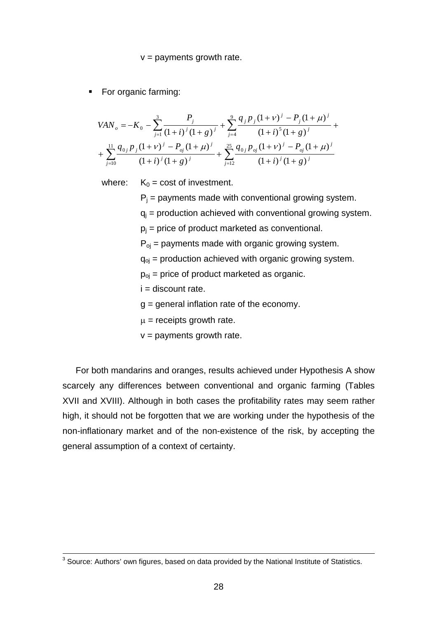#### $v =$  payments growth rate.

• For organic farming:

$$
VAN_{o} = -K_{0} - \sum_{j=1}^{3} \frac{P_{j}}{(1+i)^{j}(1+g)^{j}} + \sum_{j=4}^{9} \frac{q_{j}p_{j}(1+\nu)^{j} - P_{j}(1+\mu)^{j}}{(1+i)^{5}(1+g)^{j}} + \sum_{j=10}^{11} \frac{q_{0j}p_{j}(1+\nu)^{j} - P_{oj}(1+\mu)^{j}}{(1+i)^{j}(1+g)^{j}} + \sum_{j=12}^{25} \frac{q_{0j}p_{oj}(1+\nu)^{j} - P_{oj}(1+\mu)^{j}}{(1+i)^{j}(1+g)^{j}}
$$

where:  $K_0 = \text{cost of investment.}$ 

 $P_i$  = payments made with conventional growing system.

 $q_i$  = production achieved with conventional growing system.

 $p_i$  = price of product marketed as conventional.

 $P_{oi}$  = payments made with organic growing system.

 $q_{oj}$  = production achieved with organic growing system.

 $p_{oi}$  = price of product marketed as organic.

- $i =$  discount rate.
- $q =$  general inflation rate of the economy.
- $\mu$  = receipts growth rate.
- $v =$  payments growth rate.

For both mandarins and oranges, results achieved under Hypothesis A show scarcely any differences between conventional and organic farming (Tables XVII and XVIII). Although in both cases the profitability rates may seem rather high, it should not be forgotten that we are working under the hypothesis of the non-inflationary market and of the non-existence of the risk, by accepting the general assumption of a context of certainty.

 $\overline{a}$ 

 $^3$  Source: Authors' own figures, based on data provided by the National Institute of Statistics.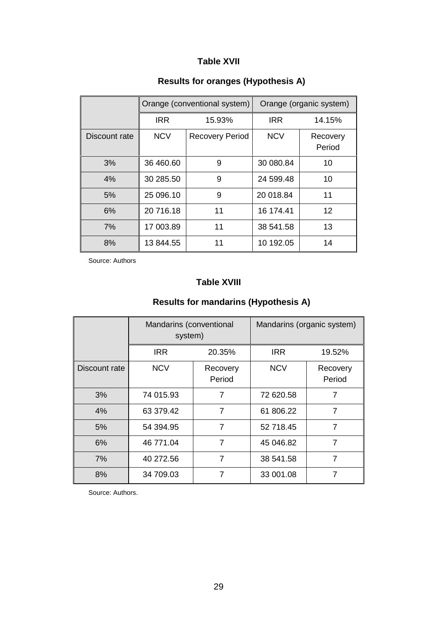## **Table XVII**

# **Results for oranges (Hypothesis A)**

|               |            | Orange (conventional system) | Orange (organic system) |                    |
|---------------|------------|------------------------------|-------------------------|--------------------|
|               | <b>IRR</b> | 15.93%                       | <b>IRR</b>              | 14.15%             |
| Discount rate | <b>NCV</b> | <b>Recovery Period</b>       | <b>NCV</b>              | Recovery<br>Period |
| 3%            | 36 460.60  | 9                            | 30 080.84               | 10                 |
| 4%            | 30 285.50  | 9                            | 24 599.48               | 10                 |
| 5%            | 25 096.10  | 9                            | 20 018.84               | 11                 |
| 6%            | 20 716.18  | 11                           | 16 174.41               | 12                 |
| 7%            | 17 003.89  | 11                           | 38 541.58               | 13                 |
| 8%            | 13 844.55  | 11                           | 10 192.05               | 14                 |

Source: Authors

## **Table XVIII**

# **Results for mandarins (Hypothesis A)**

|               | Mandarins (conventional<br>system) |                    | Mandarins (organic system) |                    |  |
|---------------|------------------------------------|--------------------|----------------------------|--------------------|--|
|               | <b>IRR</b>                         | 20.35%             | <b>IRR</b>                 | 19.52%             |  |
| Discount rate | <b>NCV</b>                         | Recovery<br>Period | <b>NCV</b>                 | Recovery<br>Period |  |
| 3%            | 74 015.93                          | 7                  | 72 620.58                  | 7                  |  |
| 4%            | 63 379.42                          | 7                  | 61 806.22                  | 7                  |  |
| 5%            | 54 394.95                          | 7                  | 52 718.45                  | 7                  |  |
| 6%            | 46 771.04                          | $\overline{7}$     | 45 046.82                  | $\overline{7}$     |  |
| 7%            | 40 272.56                          | 7                  | 38 541.58                  | 7                  |  |
| 8%            | 34 709.03                          | 7                  | 33 001.08                  | 7                  |  |

Source: Authors.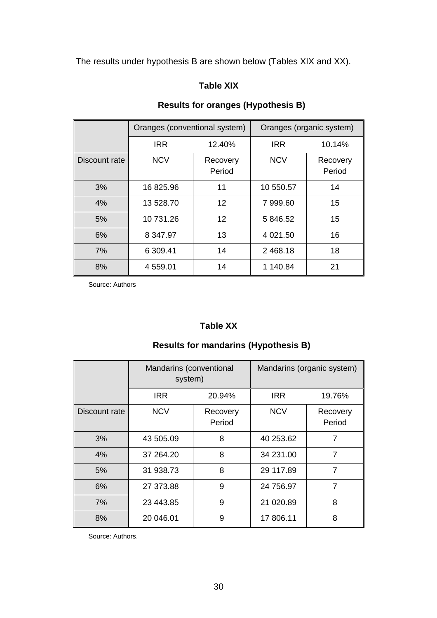The results under hypothesis B are shown below (Tables XIX and XX).

## **Table XIX**

# **Results for oranges (Hypothesis B)**

|               | Oranges (conventional system) |                    | Oranges (organic system) |                    |  |
|---------------|-------------------------------|--------------------|--------------------------|--------------------|--|
|               | <b>IRR</b>                    | 12.40%             | <b>IRR</b>               | 10.14%             |  |
| Discount rate | <b>NCV</b>                    | Recovery<br>Period | <b>NCV</b>               | Recovery<br>Period |  |
| 3%            | 16825.96                      | 11                 | 10 550.57                | 14                 |  |
| 4%            | 13 528.70                     | 12                 | 7 999.60                 | 15                 |  |
| 5%            | 10 731.26                     | 12                 | 5 846.52                 | 15                 |  |
| 6%            | 8 347.97                      | 13                 | 4 0 21.50                | 16                 |  |
| 7%            | 6 309.41                      | 14                 | 2 468.18                 | 18                 |  |
| 8%            | 4 559.01                      | 14                 | 1 140.84                 | 21                 |  |

Source: Authors

## **Table XX**

# **Results for mandarins (Hypothesis B)**

|               | Mandarins (conventional<br>system) |                    | Mandarins (organic system) |                    |  |
|---------------|------------------------------------|--------------------|----------------------------|--------------------|--|
|               | <b>IRR</b><br>20.94%               |                    | <b>IRR</b>                 | 19.76%             |  |
| Discount rate | <b>NCV</b>                         | Recovery<br>Period | <b>NCV</b>                 | Recovery<br>Period |  |
| 3%            | 43 505.09                          | 8                  | 40 253.62                  | 7                  |  |
| 4%            | 37 264.20                          | 8                  | 34 231.00                  | 7                  |  |
| 5%            | 31 938.73                          | 8                  | 29 117.89                  | 7                  |  |
| 6%            | 27 373.88                          | 9                  | 24 756.97                  | 7                  |  |
| 7%            | 23 443.85                          | 9                  | 21 020.89                  | 8                  |  |
| 8%            | 20 046.01                          | 9                  | 17 806.11                  | 8                  |  |

Source: Authors.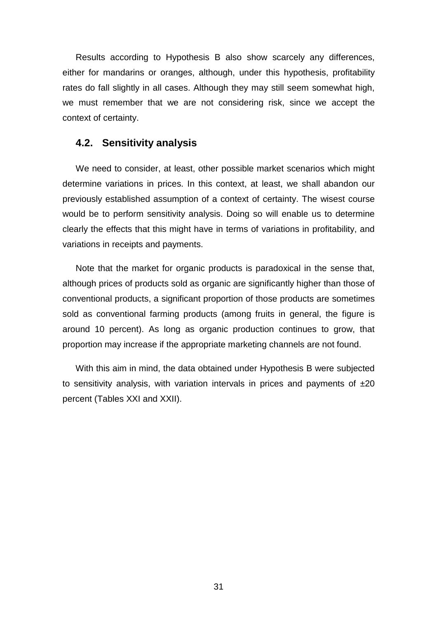Results according to Hypothesis B also show scarcely any differences, either for mandarins or oranges, although, under this hypothesis, profitability rates do fall slightly in all cases. Although they may still seem somewhat high, we must remember that we are not considering risk, since we accept the context of certainty.

## **4.2. Sensitivity analysis**

We need to consider, at least, other possible market scenarios which might determine variations in prices. In this context, at least, we shall abandon our previously established assumption of a context of certainty. The wisest course would be to perform sensitivity analysis. Doing so will enable us to determine clearly the effects that this might have in terms of variations in profitability, and variations in receipts and payments.

Note that the market for organic products is paradoxical in the sense that, although prices of products sold as organic are significantly higher than those of conventional products, a significant proportion of those products are sometimes sold as conventional farming products (among fruits in general, the figure is around 10 percent). As long as organic production continues to grow, that proportion may increase if the appropriate marketing channels are not found.

With this aim in mind, the data obtained under Hypothesis B were subjected to sensitivity analysis, with variation intervals in prices and payments of  $\pm 20$ percent (Tables XXI and XXII).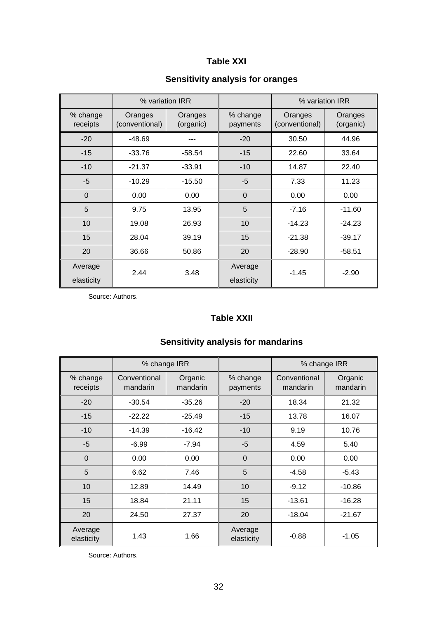## **Table XXI**

# **Sensitivity analysis for oranges**

|                       |                           | % variation IRR      |                       |                           | % variation IRR      |
|-----------------------|---------------------------|----------------------|-----------------------|---------------------------|----------------------|
| % change<br>receipts  | Oranges<br>(conventional) | Oranges<br>(organic) | % change<br>payments  | Oranges<br>(conventional) | Oranges<br>(organic) |
| $-20$                 | $-48.69$                  |                      | $-20$                 | 30.50                     | 44.96                |
| $-15$                 | $-33.76$                  | $-58.54$             | $-15$                 | 22.60                     | 33.64                |
| $-10$                 | $-21.37$                  | $-33.91$             | $-10$                 | 14.87                     | 22.40                |
| $-5$                  | $-10.29$                  | $-15.50$             | $-5$                  | 7.33                      | 11.23                |
| $\Omega$              | 0.00                      | 0.00                 | $\Omega$              | 0.00                      | 0.00                 |
| 5                     | 9.75                      | 13.95                | 5                     | $-7.16$                   | $-11.60$             |
| 10                    | 19.08                     | 26.93                | 10                    | $-14.23$                  | $-24.23$             |
| 15                    | 28.04                     | 39.19                | 15                    | $-21.38$                  | $-39.17$             |
| 20                    | 36.66                     | 50.86                | 20                    | $-28.90$                  | $-58.51$             |
| Average<br>elasticity | 2.44                      | 3.48                 | Average<br>elasticity | $-1.45$                   | $-2.90$              |

Source: Authors.

## **Table XXII**

|                       | % change IRR             |                     |                       | % change IRR             |                     |
|-----------------------|--------------------------|---------------------|-----------------------|--------------------------|---------------------|
| % change<br>receipts  | Conventional<br>mandarin | Organic<br>mandarin | % change<br>payments  | Conventional<br>mandarin | Organic<br>mandarin |
| $-20$                 | $-30.54$                 | $-35.26$            | $-20$                 | 18.34                    | 21.32               |
| $-15$                 | $-22.22$                 | $-25.49$            | $-15$                 | 13.78                    | 16.07               |
| $-10$                 | $-14.39$                 | $-16.42$            | $-10$                 | 9.19                     | 10.76               |
| $-5$                  | $-6.99$                  | $-7.94$             | $-5$                  | 4.59                     | 5.40                |
| $\overline{0}$        | 0.00                     | 0.00                | $\overline{0}$        | 0.00                     | 0.00                |
| 5                     | 6.62                     | 7.46                | 5                     | $-4.58$                  | $-5.43$             |
| 10                    | 12.89                    | 14.49               | 10                    | $-9.12$                  | $-10.86$            |
| 15                    | 18.84                    | 21.11               | 15                    | $-13.61$                 | $-16.28$            |
| 20                    | 24.50                    | 27.37               | 20                    | $-18.04$                 | $-21.67$            |
| Average<br>elasticity | 1.43                     | 1.66                | Average<br>elasticity | $-0.88$                  | $-1.05$             |

# **Sensitivity analysis for mandarins**

Source: Authors.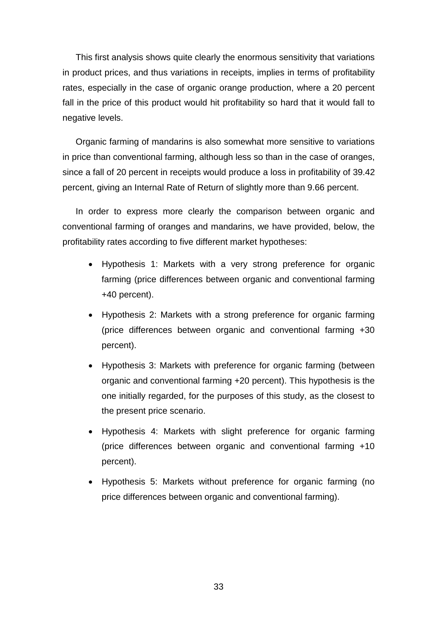This first analysis shows quite clearly the enormous sensitivity that variations in product prices, and thus variations in receipts, implies in terms of profitability rates, especially in the case of organic orange production, where a 20 percent fall in the price of this product would hit profitability so hard that it would fall to negative levels.

Organic farming of mandarins is also somewhat more sensitive to variations in price than conventional farming, although less so than in the case of oranges, since a fall of 20 percent in receipts would produce a loss in profitability of 39.42 percent, giving an Internal Rate of Return of slightly more than 9.66 percent.

In order to express more clearly the comparison between organic and conventional farming of oranges and mandarins, we have provided, below, the profitability rates according to five different market hypotheses:

- Hypothesis 1: Markets with a very strong preference for organic farming (price differences between organic and conventional farming +40 percent).
- Hypothesis 2: Markets with a strong preference for organic farming (price differences between organic and conventional farming +30 percent).
- Hypothesis 3: Markets with preference for organic farming (between organic and conventional farming +20 percent). This hypothesis is the one initially regarded, for the purposes of this study, as the closest to the present price scenario.
- Hypothesis 4: Markets with slight preference for organic farming (price differences between organic and conventional farming +10 percent).
- Hypothesis 5: Markets without preference for organic farming (no price differences between organic and conventional farming).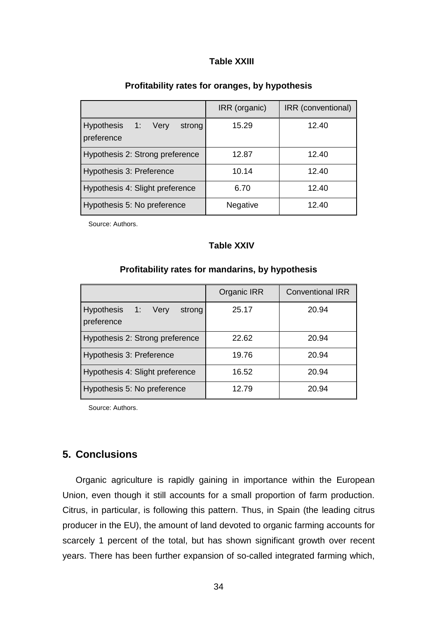## **Table XXIII**

|                                               | IRR (organic) | IRR (conventional) |
|-----------------------------------------------|---------------|--------------------|
| 1: Very<br>Hypothesis<br>strong<br>preference | 15.29         | 12.40              |
| Hypothesis 2: Strong preference               | 12.87         | 12.40              |
| Hypothesis 3: Preference                      | 10.14         | 12.40              |
| Hypothesis 4: Slight preference               | 6.70          | 12.40              |
| Hypothesis 5: No preference                   | Negative      | 12.40              |

#### **Profitability rates for oranges, by hypothesis**

Source: Authors.

#### **Table XXIV**

|                                            | <b>Organic IRR</b> | <b>Conventional IRR</b> |
|--------------------------------------------|--------------------|-------------------------|
| Hypothesis 1: Very<br>strong<br>preference | 25.17              | 20.94                   |
| Hypothesis 2: Strong preference            | 22.62              | 20.94                   |
| Hypothesis 3: Preference                   | 19.76              | 20.94                   |
| Hypothesis 4: Slight preference            | 16.52              | 20.94                   |
| Hypothesis 5: No preference                | 12.79              | 20.94                   |

#### **Profitability rates for mandarins, by hypothesis**

Source: Authors.

## **5. Conclusions**

Organic agriculture is rapidly gaining in importance within the European Union, even though it still accounts for a small proportion of farm production. Citrus, in particular, is following this pattern. Thus, in Spain (the leading citrus producer in the EU), the amount of land devoted to organic farming accounts for scarcely 1 percent of the total, but has shown significant growth over recent years. There has been further expansion of so-called integrated farming which,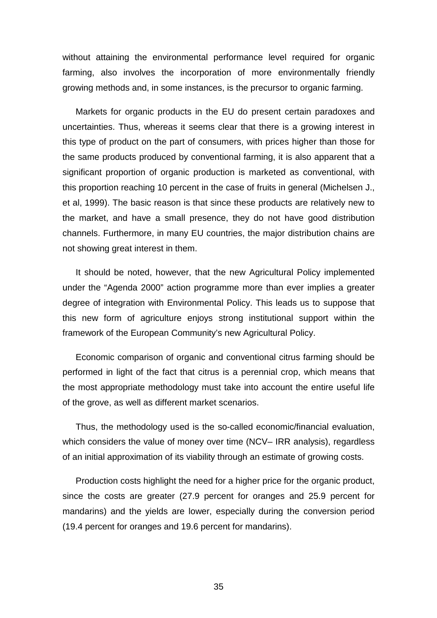without attaining the environmental performance level required for organic farming, also involves the incorporation of more environmentally friendly growing methods and, in some instances, is the precursor to organic farming.

Markets for organic products in the EU do present certain paradoxes and uncertainties. Thus, whereas it seems clear that there is a growing interest in this type of product on the part of consumers, with prices higher than those for the same products produced by conventional farming, it is also apparent that a significant proportion of organic production is marketed as conventional, with this proportion reaching 10 percent in the case of fruits in general (Michelsen J., et al, 1999). The basic reason is that since these products are relatively new to the market, and have a small presence, they do not have good distribution channels. Furthermore, in many EU countries, the major distribution chains are not showing great interest in them.

It should be noted, however, that the new Agricultural Policy implemented under the "Agenda 2000" action programme more than ever implies a greater degree of integration with Environmental Policy. This leads us to suppose that this new form of agriculture enjoys strong institutional support within the framework of the European Community's new Agricultural Policy.

Economic comparison of organic and conventional citrus farming should be performed in light of the fact that citrus is a perennial crop, which means that the most appropriate methodology must take into account the entire useful life of the grove, as well as different market scenarios.

Thus, the methodology used is the so-called economic/financial evaluation, which considers the value of money over time (NCV– IRR analysis), regardless of an initial approximation of its viability through an estimate of growing costs.

Production costs highlight the need for a higher price for the organic product, since the costs are greater (27.9 percent for oranges and 25.9 percent for mandarins) and the yields are lower, especially during the conversion period (19.4 percent for oranges and 19.6 percent for mandarins).

35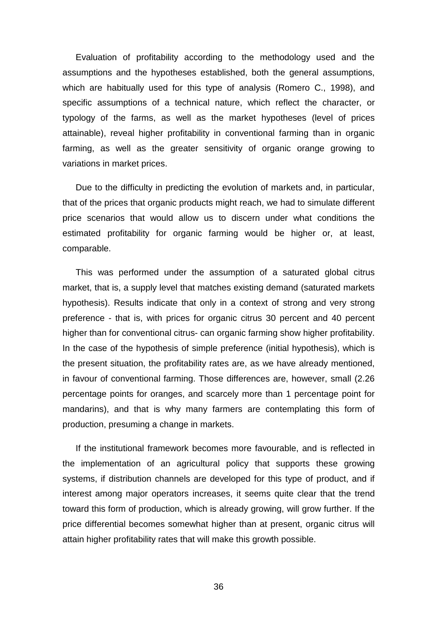Evaluation of profitability according to the methodology used and the assumptions and the hypotheses established, both the general assumptions, which are habitually used for this type of analysis (Romero C., 1998), and specific assumptions of a technical nature, which reflect the character, or typology of the farms, as well as the market hypotheses (level of prices attainable), reveal higher profitability in conventional farming than in organic farming, as well as the greater sensitivity of organic orange growing to variations in market prices.

Due to the difficulty in predicting the evolution of markets and, in particular, that of the prices that organic products might reach, we had to simulate different price scenarios that would allow us to discern under what conditions the estimated profitability for organic farming would be higher or, at least, comparable.

This was performed under the assumption of a saturated global citrus market, that is, a supply level that matches existing demand (saturated markets hypothesis). Results indicate that only in a context of strong and very strong preference - that is, with prices for organic citrus 30 percent and 40 percent higher than for conventional citrus- can organic farming show higher profitability. In the case of the hypothesis of simple preference (initial hypothesis), which is the present situation, the profitability rates are, as we have already mentioned, in favour of conventional farming. Those differences are, however, small (2.26 percentage points for oranges, and scarcely more than 1 percentage point for mandarins), and that is why many farmers are contemplating this form of production, presuming a change in markets.

If the institutional framework becomes more favourable, and is reflected in the implementation of an agricultural policy that supports these growing systems, if distribution channels are developed for this type of product, and if interest among major operators increases, it seems quite clear that the trend toward this form of production, which is already growing, will grow further. If the price differential becomes somewhat higher than at present, organic citrus will attain higher profitability rates that will make this growth possible.

36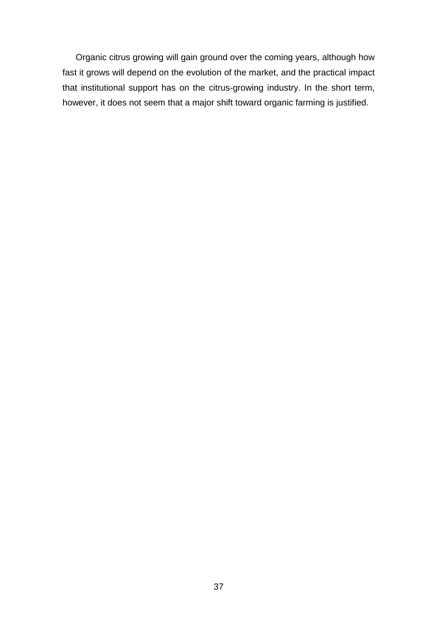Organic citrus growing will gain ground over the coming years, although how fast it grows will depend on the evolution of the market, and the practical impact that institutional support has on the citrus-growing industry. In the short term, however, it does not seem that a major shift toward organic farming is justified.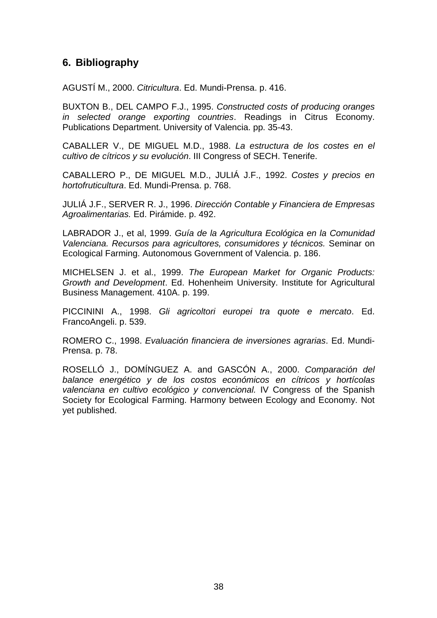# **6. Bibliography**

AGUSTÍ M., 2000. *Citricultura*. Ed. Mundi-Prensa. p. 416.

BUXTON B., DEL CAMPO F.J., 1995. *Constructed costs of producing oranges in selected orange exporting countries*. Readings in Citrus Economy. Publications Department. University of Valencia. pp. 35-43.

CABALLER V., DE MIGUEL M.D., 1988. *La estructura de los costes en el cultivo de cítricos y su evolución*. III Congress of SECH. Tenerife.

CABALLERO P., DE MIGUEL M.D., JULIÁ J.F., 1992. *Costes y precios en hortofruticultura*. Ed. Mundi-Prensa. p. 768.

JULIÁ J.F., SERVER R. J., 1996. *Dirección Contable y Financiera de Empresas Agroalimentarias.* Ed. Pirámide. p. 492.

LABRADOR J., et al, 1999. *Guía de la Agricultura Ecológica en la Comunidad Valenciana. Recursos para agricultores, consumidores y técnicos.* Seminar on Ecological Farming. Autonomous Government of Valencia. p. 186.

MICHELSEN J. et al., 1999. *The European Market for Organic Products: Growth and Development*. Ed. Hohenheim University. Institute for Agricultural Business Management. 410A. p. 199.

PICCININI A., 1998. *Gli agricoltori europei tra quote e mercato*. Ed. FrancoAngeli. p. 539.

ROMERO C., 1998. *Evaluación financiera de inversiones agrarias*. Ed. Mundi-Prensa. p. 78.

ROSELLÓ J., DOMÍNGUEZ A. and GASCÓN A., 2000. *Comparación del balance energético y de los costos económicos en cítricos y hortícolas valenciana en cultivo ecológico y convencional.* IV Congress of the Spanish Society for Ecological Farming. Harmony between Ecology and Economy. Not yet published.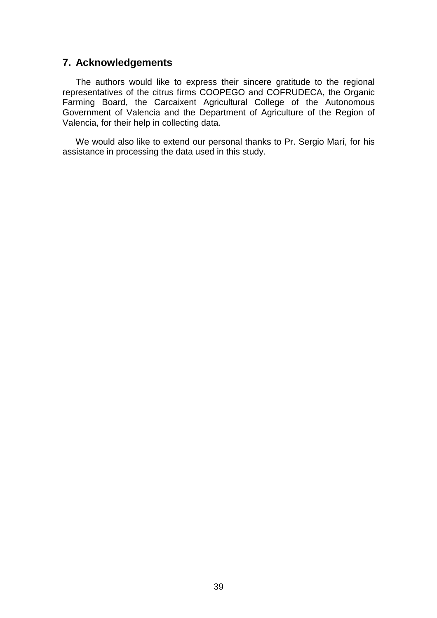## **7. Acknowledgements**

The authors would like to express their sincere gratitude to the regional representatives of the citrus firms COOPEGO and COFRUDECA, the Organic Farming Board, the Carcaixent Agricultural College of the Autonomous Government of Valencia and the Department of Agriculture of the Region of Valencia, for their help in collecting data.

We would also like to extend our personal thanks to Pr. Sergio Marí, for his assistance in processing the data used in this study.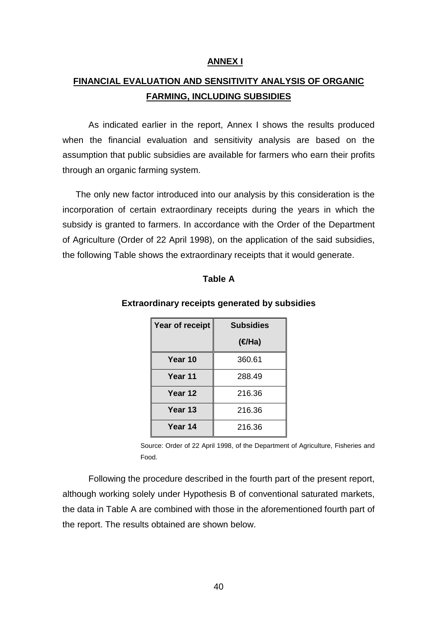#### **ANNEX I**

# **FINANCIAL EVALUATION AND SENSITIVITY ANALYSIS OF ORGANIC FARMING, INCLUDING SUBSIDIES**

As indicated earlier in the report, Annex I shows the results produced when the financial evaluation and sensitivity analysis are based on the assumption that public subsidies are available for farmers who earn their profits through an organic farming system.

The only new factor introduced into our analysis by this consideration is the incorporation of certain extraordinary receipts during the years in which the subsidy is granted to farmers. In accordance with the Order of the Department of Agriculture (Order of 22 April 1998), on the application of the said subsidies, the following Table shows the extraordinary receipts that it would generate.

#### **Table A**

## **Extraordinary receipts generated by subsidies**

| Year of receipt | <b>Subsidies</b>   |
|-----------------|--------------------|
|                 | ( <del>∉</del> Ha) |
| Year 10         | 360.61             |
| Year 11         | 288.49             |
| Year 12         | 216.36             |
| Year 13         | 216.36             |
| Year 14         | 216.36             |

Source: Order of 22 April 1998, of the Department of Agriculture, Fisheries and Food.

Following the procedure described in the fourth part of the present report, although working solely under Hypothesis B of conventional saturated markets, the data in Table A are combined with those in the aforementioned fourth part of the report. The results obtained are shown below.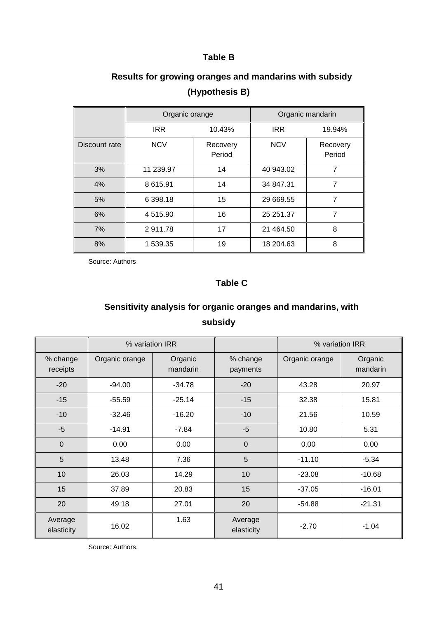## **Table B**

|               | Organic orange |                    | Organic mandarin |                    |  |  |
|---------------|----------------|--------------------|------------------|--------------------|--|--|
|               | <b>IRR</b>     | 10.43%             | <b>IRR</b>       | 19.94%             |  |  |
| Discount rate | <b>NCV</b>     | Recovery<br>Period | <b>NCV</b>       | Recovery<br>Period |  |  |
| 3%            | 11 239.97      | 14                 | 40 943.02        | 7                  |  |  |
| 4%            | 8 615.91       | 14                 | 34 847.31        | 7                  |  |  |
| 5%            | 6 398.18       | 15                 | 29 669.55        | 7                  |  |  |
| 6%            | 4 515.90       | 16                 | 25 251.37        | 7                  |  |  |
| 7%            | 2911.78        | 17                 | 21 464.50        | 8                  |  |  |
| 8%            | 1 539.35       | 19                 | 18 204.63        | 8                  |  |  |

# **Results for growing oranges and mandarins with subsidy (Hypothesis B)**

Source: Authors

## **Table C**

# **Sensitivity analysis for organic oranges and mandarins, with subsidy**

|                       | % variation IRR |                     |                       | % variation IRR |                     |  |
|-----------------------|-----------------|---------------------|-----------------------|-----------------|---------------------|--|
| % change<br>receipts  | Organic orange  | Organic<br>mandarin | % change<br>payments  | Organic orange  | Organic<br>mandarin |  |
| $-20$                 | $-94.00$        | $-34.78$            | $-20$                 | 43.28           | 20.97               |  |
| $-15$                 | $-55.59$        | $-25.14$            | $-15$                 | 32.38           | 15.81               |  |
| $-10$                 | $-32.46$        | $-16.20$            | $-10$                 | 21.56           | 10.59               |  |
| $-5$                  | $-14.91$        | $-7.84$             | $-5$                  | 10.80           | 5.31                |  |
| $\mathbf 0$           | 0.00            | 0.00                | $\mathbf 0$           | 0.00            | 0.00                |  |
| 5                     | 13.48           | 7.36                | 5                     | $-11.10$        | $-5.34$             |  |
| 10                    | 26.03           | 14.29               | 10                    | $-23.08$        | $-10.68$            |  |
| 15                    | 37.89           | 20.83               | 15                    | $-37.05$        | $-16.01$            |  |
| 20                    | 49.18           | 27.01               | 20                    | $-54.88$        | $-21.31$            |  |
| Average<br>elasticity | 16.02           | 1.63                | Average<br>elasticity | $-2.70$         | $-1.04$             |  |

Source: Authors.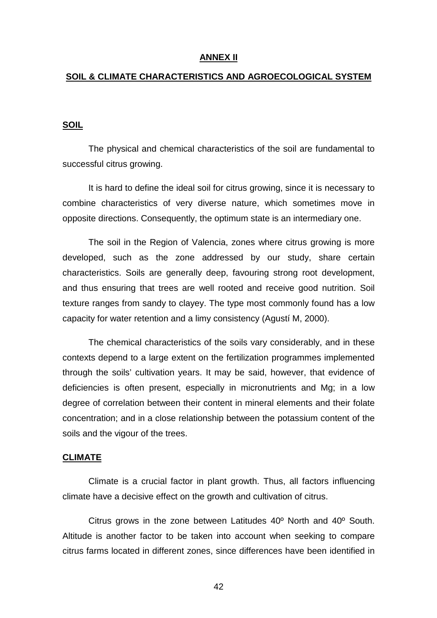#### **ANNEX II**

#### **SOIL & CLIMATE CHARACTERISTICS AND AGROECOLOGICAL SYSTEM**

#### **SOIL**

The physical and chemical characteristics of the soil are fundamental to successful citrus growing.

It is hard to define the ideal soil for citrus growing, since it is necessary to combine characteristics of very diverse nature, which sometimes move in opposite directions. Consequently, the optimum state is an intermediary one.

The soil in the Region of Valencia, zones where citrus growing is more developed, such as the zone addressed by our study, share certain characteristics. Soils are generally deep, favouring strong root development, and thus ensuring that trees are well rooted and receive good nutrition. Soil texture ranges from sandy to clayey. The type most commonly found has a low capacity for water retention and a limy consistency (Agustí M, 2000).

The chemical characteristics of the soils vary considerably, and in these contexts depend to a large extent on the fertilization programmes implemented through the soils' cultivation years. It may be said, however, that evidence of deficiencies is often present, especially in micronutrients and Mg; in a low degree of correlation between their content in mineral elements and their folate concentration; and in a close relationship between the potassium content of the soils and the vigour of the trees.

#### **CLIMATE**

Climate is a crucial factor in plant growth. Thus, all factors influencing climate have a decisive effect on the growth and cultivation of citrus.

Citrus grows in the zone between Latitudes 40º North and 40º South. Altitude is another factor to be taken into account when seeking to compare citrus farms located in different zones, since differences have been identified in

42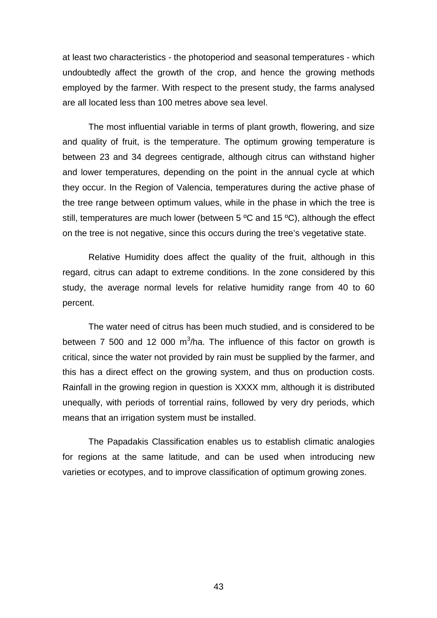at least two characteristics - the photoperiod and seasonal temperatures - which undoubtedly affect the growth of the crop, and hence the growing methods employed by the farmer. With respect to the present study, the farms analysed are all located less than 100 metres above sea level.

The most influential variable in terms of plant growth, flowering, and size and quality of fruit, is the temperature. The optimum growing temperature is between 23 and 34 degrees centigrade, although citrus can withstand higher and lower temperatures, depending on the point in the annual cycle at which they occur. In the Region of Valencia, temperatures during the active phase of the tree range between optimum values, while in the phase in which the tree is still, temperatures are much lower (between 5 ºC and 15 ºC), although the effect on the tree is not negative, since this occurs during the tree's vegetative state.

Relative Humidity does affect the quality of the fruit, although in this regard, citrus can adapt to extreme conditions. In the zone considered by this study, the average normal levels for relative humidity range from 40 to 60 percent.

The water need of citrus has been much studied, and is considered to be between 7 500 and 12 000 m<sup>3</sup>/ha. The influence of this factor on growth is critical, since the water not provided by rain must be supplied by the farmer, and this has a direct effect on the growing system, and thus on production costs. Rainfall in the growing region in question is XXXX mm, although it is distributed unequally, with periods of torrential rains, followed by very dry periods, which means that an irrigation system must be installed.

The Papadakis Classification enables us to establish climatic analogies for regions at the same latitude, and can be used when introducing new varieties or ecotypes, and to improve classification of optimum growing zones.

43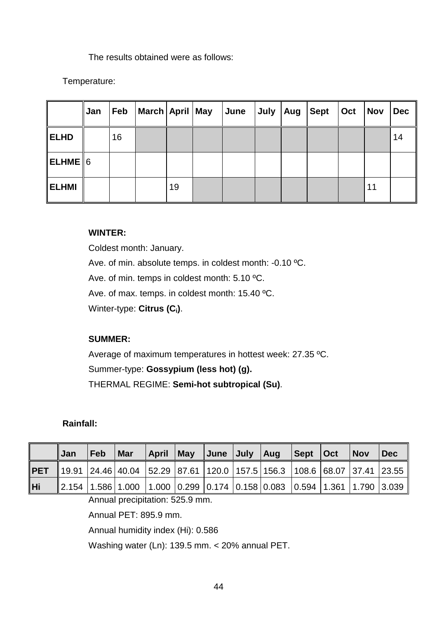The results obtained were as follows:

Temperature:

|                   | ∥Jan | Feb | March   April   May |    | June | July   Aug | $\vert$ Sept $\vert$ | Oct | <b>Nov</b> | <b>Dec</b> |
|-------------------|------|-----|---------------------|----|------|------------|----------------------|-----|------------|------------|
| <b>ELHD</b>       |      | 16  |                     |    |      |            |                      |     |            | 14         |
| $\ $ ELHME $\ $ 6 |      |     |                     |    |      |            |                      |     |            |            |
| <b>ELHMI</b>      |      |     |                     | 19 |      |            |                      |     | 11         |            |

## **WINTER:**

Coldest month: January. Ave. of min. absolute temps. in coldest month: -0.10 ºC. Ave. of min. temps in coldest month: 5.10 ºC. Ave. of max. temps. in coldest month: 15.40 ºC. Winter-type: **Citrus (Ci)**.

## **SUMMER:**

Average of maximum temperatures in hottest week: 27.35 ºC. Summer-type: **Gossypium (less hot) (g).** THERMAL REGIME: **Semi-hot subtropical (Su)**.

## **Rainfall:**

|     | ∥Jan | Feb | ∣Mar                                                                                                               |  |  | April May June July Aug Sept Oct |  | $\mathsf{Nov}$ | $\vert$ Dec |
|-----|------|-----|--------------------------------------------------------------------------------------------------------------------|--|--|----------------------------------|--|----------------|-------------|
|     |      |     | <b>  PET</b>   19.91   24.46   40.04     52.29   87.61    120.0   157.5   156.3     108.6   68.07   37.41    23.55 |  |  |                                  |  |                |             |
| ∥Hi |      |     | $\parallel$ 2.154   1.586   1.000   1.000   0.299   0.174   0.158   0.083   0.594   1.361   1.790   3.039          |  |  |                                  |  |                |             |

Annual precipitation: 525.9 mm.

Annual PET: 895.9 mm.

Annual humidity index (Hi): 0.586

Washing water (Ln): 139.5 mm. < 20% annual PET.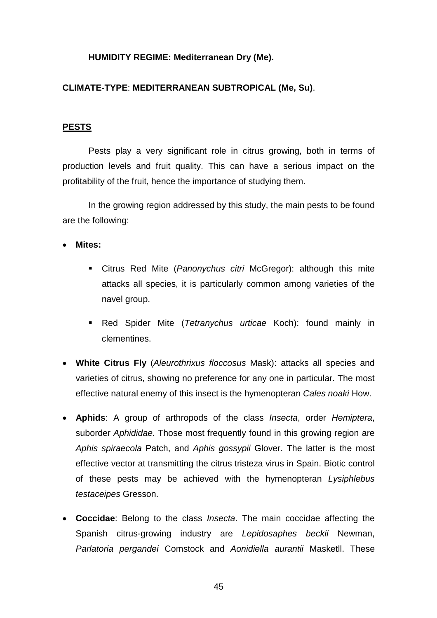#### **HUMIDITY REGIME: Mediterranean Dry (Me).**

## **CLIMATE-TYPE**: **MEDITERRANEAN SUBTROPICAL (Me, Su)**.

#### **PESTS**

Pests play a very significant role in citrus growing, both in terms of production levels and fruit quality. This can have a serious impact on the profitability of the fruit, hence the importance of studying them.

In the growing region addressed by this study, the main pests to be found are the following:

**Mites:**

- Citrus Red Mite (*Panonychus citri* McGregor): although this mite attacks all species, it is particularly common among varieties of the navel group.
- Red Spider Mite (*Tetranychus urticae* Koch): found mainly in clementines.
- **White Citrus Fly** (*Aleurothrixus floccosus* Mask): attacks all species and varieties of citrus, showing no preference for any one in particular. The most effective natural enemy of this insect is the hymenopteran *Cales noaki* How.
- **Aphids**: A group of arthropods of the class *Insecta*, order *Hemiptera*, suborder *Aphididae.* Those most frequently found in this growing region are *Aphis spiraecola* Patch, and *Aphis gossypii* Glover. The latter is the most effective vector at transmitting the citrus tristeza virus in Spain. Biotic control of these pests may be achieved with the hymenopteran *Lysiphlebus testaceipes* Gresson.
- **Coccidae**: Belong to the class *Insecta*. The main coccidae affecting the Spanish citrus-growing industry are *Lepidosaphes beckii* Newman, *Parlatoria pergandei* Comstock and *Aonidiella aurantii* Masketll. These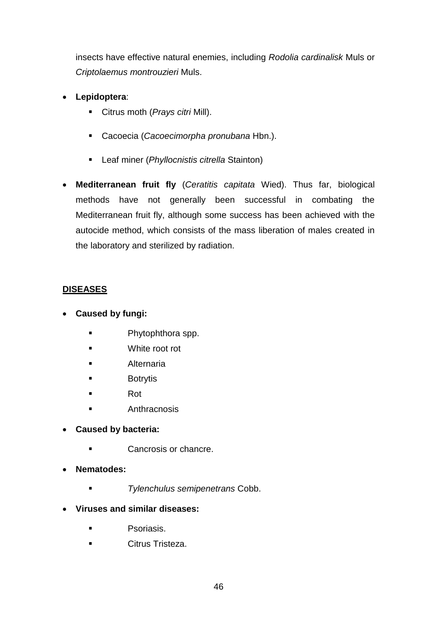insects have effective natural enemies, including *Rodolia cardinalisk* Muls or *Criptolaemus montrouzieri* Muls.

- **Lepidoptera**:
	- Citrus moth (*Prays citri* Mill).
	- Cacoecia (*Cacoecimorpha pronubana* Hbn.).
	- Leaf miner (*Phyllocnistis citrella* Stainton)
- **Mediterranean fruit fly** (*Ceratitis capitata* Wied). Thus far, biological methods have not generally been successful in combating the Mediterranean fruit fly, although some success has been achieved with the autocide method, which consists of the mass liberation of males created in the laboratory and sterilized by radiation.

## **DISEASES**

- **Caused by fungi:**
	- **Phytophthora spp.**
	- White root rot
	- Alternaria
	- **Botrytis**
	- Rot
	- **Anthracnosis**
- **Caused by bacteria:**
	- Cancrosis or chancre.
- **Nematodes:**
	- *Tylenchulus semipenetrans* Cobb.
- **Viruses and similar diseases:**
	- **Psoriasis.**
	- Citrus Tristeza.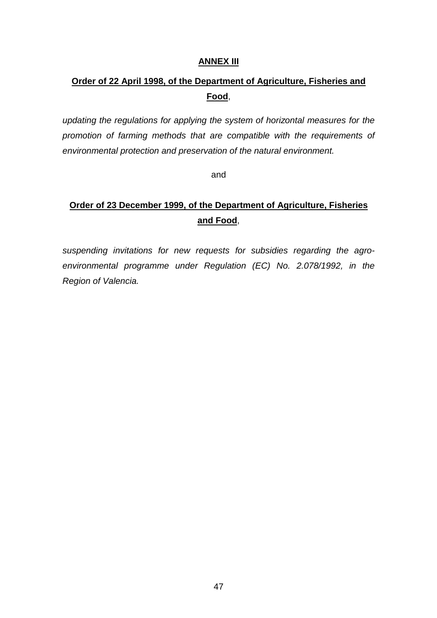#### **ANNEX III**

# **Order of 22 April 1998, of the Department of Agriculture, Fisheries and Food**,

*updating the regulations for applying the system of horizontal measures for the promotion of farming methods that are compatible with the requirements of environmental protection and preservation of the natural environment.*

and

# **Order of 23 December 1999, of the Department of Agriculture, Fisheries and Food**,

*suspending invitations for new requests for subsidies regarding the agroenvironmental programme under Regulation (EC) No. 2.078/1992, in the Region of Valencia.*